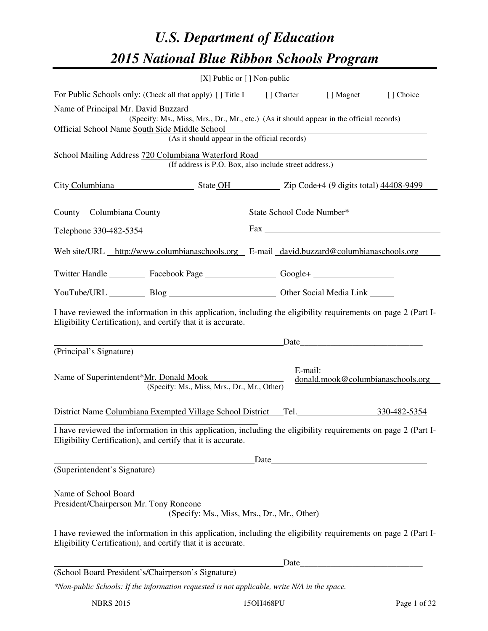# *U.S. Department of Education 2015 National Blue Ribbon Schools Program*

|                                                                |                                                                                                                                                                                | [X] Public or $[$ ] Non-public |                                                                                                                                                                                                                               |           |
|----------------------------------------------------------------|--------------------------------------------------------------------------------------------------------------------------------------------------------------------------------|--------------------------------|-------------------------------------------------------------------------------------------------------------------------------------------------------------------------------------------------------------------------------|-----------|
|                                                                | For Public Schools only: (Check all that apply) [] Title I [] Charter [] Magnet                                                                                                |                                |                                                                                                                                                                                                                               | [] Choice |
| Name of Principal Mr. David Buzzard                            | (Specify: Ms., Miss, Mrs., Dr., Mr., etc.) (As it should appear in the official records)                                                                                       |                                |                                                                                                                                                                                                                               |           |
|                                                                | Official School Name South Side Middle School                                                                                                                                  |                                |                                                                                                                                                                                                                               |           |
|                                                                | (As it should appear in the official records)                                                                                                                                  |                                |                                                                                                                                                                                                                               |           |
|                                                                | School Mailing Address 720 Columbiana Waterford Road<br>(If address is P.O. Box, also include street address.)                                                                 |                                |                                                                                                                                                                                                                               |           |
|                                                                | City Columbiana State OH Zip Code+4 (9 digits total) 44408-9499                                                                                                                |                                |                                                                                                                                                                                                                               |           |
|                                                                | County Columbiana County State School Code Number*                                                                                                                             |                                |                                                                                                                                                                                                                               |           |
|                                                                | Telephone $330-482-5354$ Fax $\overline{\phantom{233331}}$                                                                                                                     |                                |                                                                                                                                                                                                                               |           |
|                                                                | Web site/URL http://www.columbianaschools.org E-mail david.buzzard@columbianaschools.org                                                                                       |                                |                                                                                                                                                                                                                               |           |
|                                                                | Twitter Handle ___________ Facebook Page ___________________ Google+ ____________                                                                                              |                                |                                                                                                                                                                                                                               |           |
|                                                                | YouTube/URL Blog Blog Discount Cher Social Media Link                                                                                                                          |                                |                                                                                                                                                                                                                               |           |
|                                                                | I have reviewed the information in this application, including the eligibility requirements on page 2 (Part I-<br>Eligibility Certification), and certify that it is accurate. |                                |                                                                                                                                                                                                                               |           |
|                                                                |                                                                                                                                                                                |                                |                                                                                                                                                                                                                               |           |
| (Principal's Signature)                                        |                                                                                                                                                                                |                                |                                                                                                                                                                                                                               |           |
|                                                                | Name of Superintendent*Mr. Donald Mook<br>(Specify: Ms., Miss, Mrs., Dr., Mr., Other)                                                                                          | E-mail:                        | donald.mook@columbianaschools.org                                                                                                                                                                                             |           |
|                                                                | District Name Columbiana Exempted Village School District Tel. 330-482-5354                                                                                                    |                                |                                                                                                                                                                                                                               |           |
|                                                                | I have reviewed the information in this application, including the eligibility requirements on page 2 (Part I-<br>Eligibility Certification), and certify that it is accurate. |                                |                                                                                                                                                                                                                               |           |
|                                                                |                                                                                                                                                                                |                                | Date has been as a series of the series of the series of the series of the series of the series of the series of the series of the series of the series of the series of the series of the series of the series of the series |           |
| (Superintendent's Signature)                                   |                                                                                                                                                                                |                                |                                                                                                                                                                                                                               |           |
| Name of School Board<br>President/Chairperson Mr. Tony Roncone |                                                                                                                                                                                |                                |                                                                                                                                                                                                                               |           |
|                                                                | (Specify: Ms., Miss, Mrs., Dr., Mr., Other)                                                                                                                                    |                                |                                                                                                                                                                                                                               |           |
|                                                                | I have reviewed the information in this application, including the eligibility requirements on page 2 (Part I-<br>Eligibility Certification), and certify that it is accurate. |                                |                                                                                                                                                                                                                               |           |
|                                                                |                                                                                                                                                                                |                                |                                                                                                                                                                                                                               |           |
|                                                                | (School Board President's/Chairperson's Signature)                                                                                                                             |                                |                                                                                                                                                                                                                               |           |
|                                                                | *Non-public Schools: If the information requested is not applicable, write N/A in the space.                                                                                   |                                |                                                                                                                                                                                                                               |           |

NBRS 2015 15OH468PU Page 1 of 32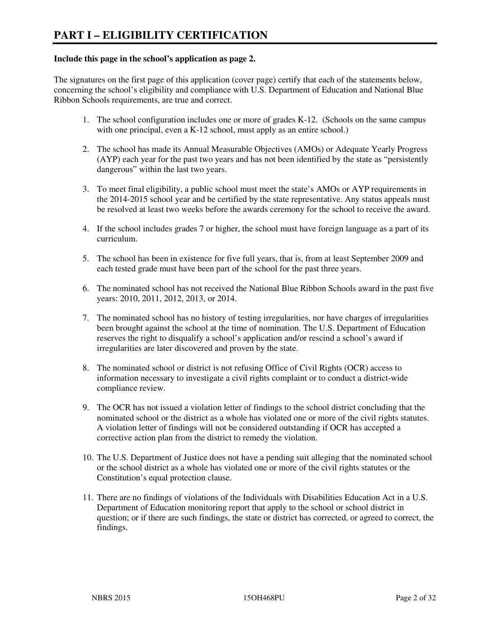#### **Include this page in the school's application as page 2.**

The signatures on the first page of this application (cover page) certify that each of the statements below, concerning the school's eligibility and compliance with U.S. Department of Education and National Blue Ribbon Schools requirements, are true and correct.

- 1. The school configuration includes one or more of grades K-12. (Schools on the same campus with one principal, even a K-12 school, must apply as an entire school.)
- 2. The school has made its Annual Measurable Objectives (AMOs) or Adequate Yearly Progress (AYP) each year for the past two years and has not been identified by the state as "persistently dangerous" within the last two years.
- 3. To meet final eligibility, a public school must meet the state's AMOs or AYP requirements in the 2014-2015 school year and be certified by the state representative. Any status appeals must be resolved at least two weeks before the awards ceremony for the school to receive the award.
- 4. If the school includes grades 7 or higher, the school must have foreign language as a part of its curriculum.
- 5. The school has been in existence for five full years, that is, from at least September 2009 and each tested grade must have been part of the school for the past three years.
- 6. The nominated school has not received the National Blue Ribbon Schools award in the past five years: 2010, 2011, 2012, 2013, or 2014.
- 7. The nominated school has no history of testing irregularities, nor have charges of irregularities been brought against the school at the time of nomination. The U.S. Department of Education reserves the right to disqualify a school's application and/or rescind a school's award if irregularities are later discovered and proven by the state.
- 8. The nominated school or district is not refusing Office of Civil Rights (OCR) access to information necessary to investigate a civil rights complaint or to conduct a district-wide compliance review.
- 9. The OCR has not issued a violation letter of findings to the school district concluding that the nominated school or the district as a whole has violated one or more of the civil rights statutes. A violation letter of findings will not be considered outstanding if OCR has accepted a corrective action plan from the district to remedy the violation.
- 10. The U.S. Department of Justice does not have a pending suit alleging that the nominated school or the school district as a whole has violated one or more of the civil rights statutes or the Constitution's equal protection clause.
- 11. There are no findings of violations of the Individuals with Disabilities Education Act in a U.S. Department of Education monitoring report that apply to the school or school district in question; or if there are such findings, the state or district has corrected, or agreed to correct, the findings.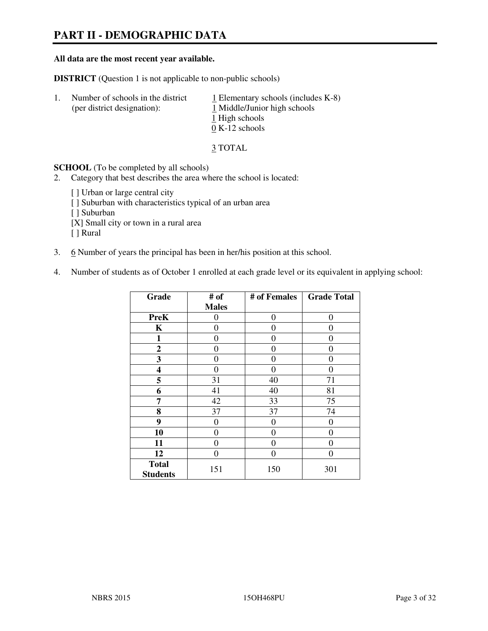# **PART II - DEMOGRAPHIC DATA**

#### **All data are the most recent year available.**

**DISTRICT** (Question 1 is not applicable to non-public schools)

| $\perp$ | Number of schools in the district<br>(per district designation): | $\perp$ Elementary schools (includes K-8)<br>1 Middle/Junior high schools<br>1 High schools<br>$0 K-12$ schools |
|---------|------------------------------------------------------------------|-----------------------------------------------------------------------------------------------------------------|
|         |                                                                  |                                                                                                                 |

3 TOTAL

**SCHOOL** (To be completed by all schools)

2. Category that best describes the area where the school is located:

[ ] Urban or large central city [ ] Suburban with characteristics typical of an urban area [ ] Suburban [X] Small city or town in a rural area [ ] Rural

- 3. 6 Number of years the principal has been in her/his position at this school.
- 4. Number of students as of October 1 enrolled at each grade level or its equivalent in applying school:

| Grade                           | # of         | # of Females | <b>Grade Total</b> |
|---------------------------------|--------------|--------------|--------------------|
|                                 | <b>Males</b> |              |                    |
| <b>PreK</b>                     | 0            | $\theta$     | $\theta$           |
| K                               | 0            | 0            | 0                  |
| $\mathbf{1}$                    | 0            | 0            | $\theta$           |
| $\mathbf{2}$                    | 0            | 0            | $\theta$           |
| 3                               | 0            | 0            | $\theta$           |
| 4                               | 0            | 0            | 0                  |
| 5                               | 31           | 40           | 71                 |
| 6                               | 41           | 40           | 81                 |
| 7                               | 42           | 33           | 75                 |
| 8                               | 37           | 37           | 74                 |
| 9                               | 0            | $\theta$     | 0                  |
| 10                              | 0            | 0            | 0                  |
| 11                              | 0            | 0            | $\theta$           |
| 12                              | 0            | 0            | 0                  |
| <b>Total</b><br><b>Students</b> | 151          | 150          | 301                |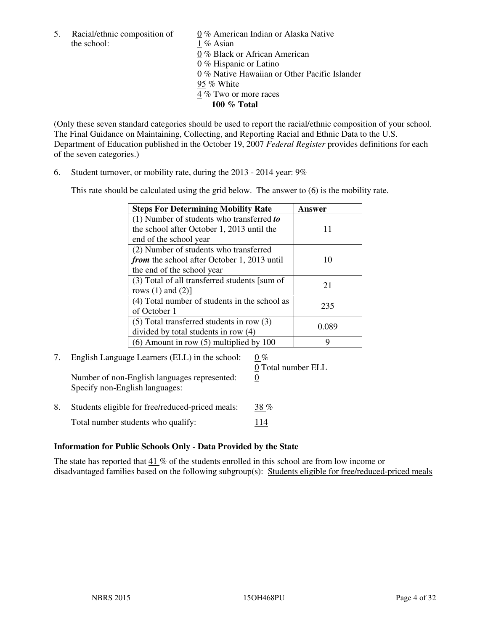5. Racial/ethnic composition of  $0\%$  American Indian or Alaska Native the school: 1 % Asian

 0 % Black or African American 0 % Hispanic or Latino 0 % Native Hawaiian or Other Pacific Islander 95 % White 4 % Two or more races **100 % Total** 

(Only these seven standard categories should be used to report the racial/ethnic composition of your school. The Final Guidance on Maintaining, Collecting, and Reporting Racial and Ethnic Data to the U.S. Department of Education published in the October 19, 2007 *Federal Register* provides definitions for each of the seven categories.)

6. Student turnover, or mobility rate, during the 2013 - 2014 year: 9%

This rate should be calculated using the grid below. The answer to (6) is the mobility rate.

| <b>Steps For Determining Mobility Rate</b>         | Answer |
|----------------------------------------------------|--------|
| $(1)$ Number of students who transferred to        |        |
| the school after October 1, 2013 until the         | 11     |
| end of the school year                             |        |
| (2) Number of students who transferred             |        |
| <i>from</i> the school after October 1, 2013 until | 10     |
| the end of the school year                         |        |
| (3) Total of all transferred students [sum of      | 21     |
| rows $(1)$ and $(2)$ ]                             |        |
| (4) Total number of students in the school as      |        |
| of October 1                                       | 235    |
| $(5)$ Total transferred students in row $(3)$      |        |
| divided by total students in row (4)               | 0.089  |
| $(6)$ Amount in row $(5)$ multiplied by 100        | Q      |

# 7. English Language Learners (ELL) in the school:  $0\%$ Number of non-English languages represented: 0

Specify non-English languages:

0 Total number ELL

8. Students eligible for free/reduced-priced meals:  $38\%$ Total number students who qualify: 114

## **Information for Public Schools Only - Data Provided by the State**

The state has reported that  $41\%$  of the students enrolled in this school are from low income or disadvantaged families based on the following subgroup(s): Students eligible for free/reduced-priced meals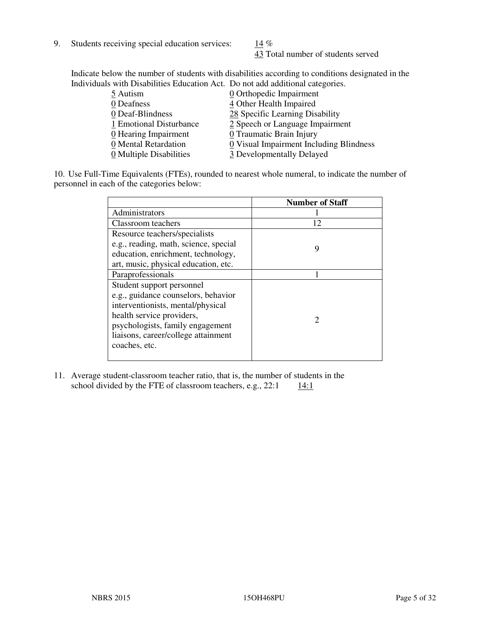9. Students receiving special education services:  $14\%$ 

43 Total number of students served

Indicate below the number of students with disabilities according to conditions designated in the Individuals with Disabilities Education Act. Do not add additional categories.

| 5 Autism                           | 0 Orthopedic Impairment                 |
|------------------------------------|-----------------------------------------|
| 0 Deafness                         | 4 Other Health Impaired                 |
| 0 Deaf-Blindness                   | 28 Specific Learning Disability         |
| 1 Emotional Disturbance            | 2 Speech or Language Impairment         |
| $\underline{0}$ Hearing Impairment | 0 Traumatic Brain Injury                |
| 0 Mental Retardation               | 0 Visual Impairment Including Blindness |
| 0 Multiple Disabilities            | 3 Developmentally Delayed               |
|                                    |                                         |

10. Use Full-Time Equivalents (FTEs), rounded to nearest whole numeral, to indicate the number of personnel in each of the categories below:

|                                       | <b>Number of Staff</b> |
|---------------------------------------|------------------------|
| Administrators                        |                        |
| Classroom teachers                    | 12                     |
| Resource teachers/specialists         |                        |
| e.g., reading, math, science, special | 9                      |
| education, enrichment, technology,    |                        |
| art, music, physical education, etc.  |                        |
| Paraprofessionals                     |                        |
| Student support personnel             |                        |
| e.g., guidance counselors, behavior   |                        |
| interventionists, mental/physical     |                        |
| health service providers,             | 2                      |
| psychologists, family engagement      |                        |
| liaisons, career/college attainment   |                        |
| coaches, etc.                         |                        |
|                                       |                        |

11. Average student-classroom teacher ratio, that is, the number of students in the school divided by the FTE of classroom teachers, e.g.,  $22:1$  14:1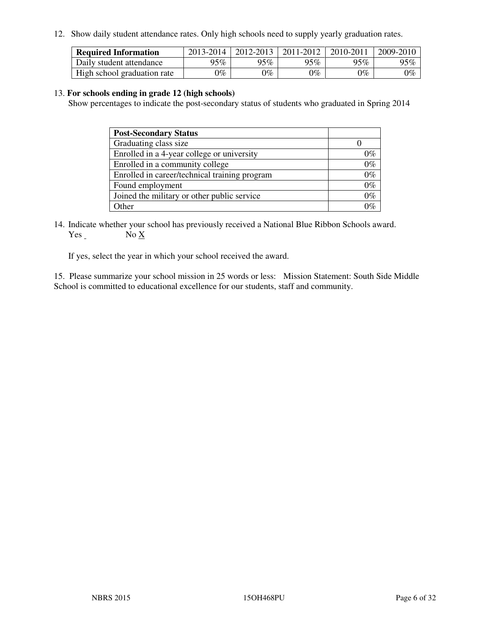12. Show daily student attendance rates. Only high schools need to supply yearly graduation rates.

| <b>Required Information</b> | 2013-2014 | 2012-2013 | 2011-2012 | 2010-2011 | 2009-2010 |
|-----------------------------|-----------|-----------|-----------|-----------|-----------|
| Daily student attendance    | $95\%$    | $95\%$    | 95%       | 95%       | 95%       |
| High school graduation rate | 9%        | $0\%$     | $0\%$     | 0%        | $0\%$     |

#### 13. **For schools ending in grade 12 (high schools)**

Show percentages to indicate the post-secondary status of students who graduated in Spring 2014

| <b>Post-Secondary Status</b>                  |       |
|-----------------------------------------------|-------|
| Graduating class size                         |       |
| Enrolled in a 4-year college or university    | በ‰    |
| Enrolled in a community college               | $0\%$ |
| Enrolled in career/technical training program | $0\%$ |
| Found employment                              | $0\%$ |
| Joined the military or other public service   | 0%    |
| Other                                         |       |

14. Indicate whether your school has previously received a National Blue Ribbon Schools award. Yes No X

If yes, select the year in which your school received the award.

15. Please summarize your school mission in 25 words or less: Mission Statement: South Side Middle School is committed to educational excellence for our students, staff and community.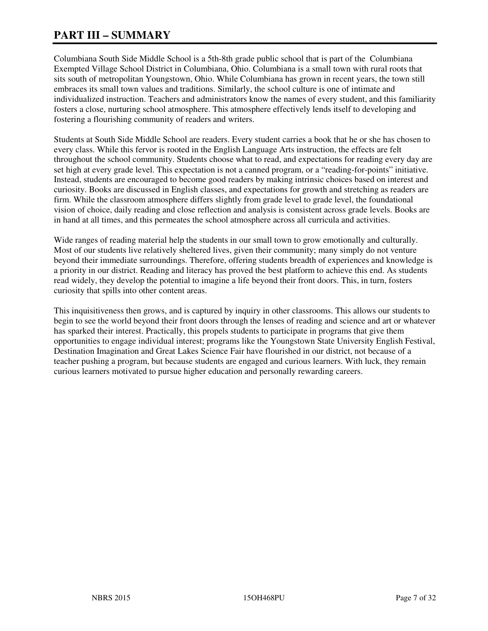# **PART III – SUMMARY**

Columbiana South Side Middle School is a 5th-8th grade public school that is part of the Columbiana Exempted Village School District in Columbiana, Ohio. Columbiana is a small town with rural roots that sits south of metropolitan Youngstown, Ohio. While Columbiana has grown in recent years, the town still embraces its small town values and traditions. Similarly, the school culture is one of intimate and individualized instruction. Teachers and administrators know the names of every student, and this familiarity fosters a close, nurturing school atmosphere. This atmosphere effectively lends itself to developing and fostering a flourishing community of readers and writers.

Students at South Side Middle School are readers. Every student carries a book that he or she has chosen to every class. While this fervor is rooted in the English Language Arts instruction, the effects are felt throughout the school community. Students choose what to read, and expectations for reading every day are set high at every grade level. This expectation is not a canned program, or a "reading-for-points" initiative. Instead, students are encouraged to become good readers by making intrinsic choices based on interest and curiosity. Books are discussed in English classes, and expectations for growth and stretching as readers are firm. While the classroom atmosphere differs slightly from grade level to grade level, the foundational vision of choice, daily reading and close reflection and analysis is consistent across grade levels. Books are in hand at all times, and this permeates the school atmosphere across all curricula and activities.

Wide ranges of reading material help the students in our small town to grow emotionally and culturally. Most of our students live relatively sheltered lives, given their community; many simply do not venture beyond their immediate surroundings. Therefore, offering students breadth of experiences and knowledge is a priority in our district. Reading and literacy has proved the best platform to achieve this end. As students read widely, they develop the potential to imagine a life beyond their front doors. This, in turn, fosters curiosity that spills into other content areas.

This inquisitiveness then grows, and is captured by inquiry in other classrooms. This allows our students to begin to see the world beyond their front doors through the lenses of reading and science and art or whatever has sparked their interest. Practically, this propels students to participate in programs that give them opportunities to engage individual interest; programs like the Youngstown State University English Festival, Destination Imagination and Great Lakes Science Fair have flourished in our district, not because of a teacher pushing a program, but because students are engaged and curious learners. With luck, they remain curious learners motivated to pursue higher education and personally rewarding careers.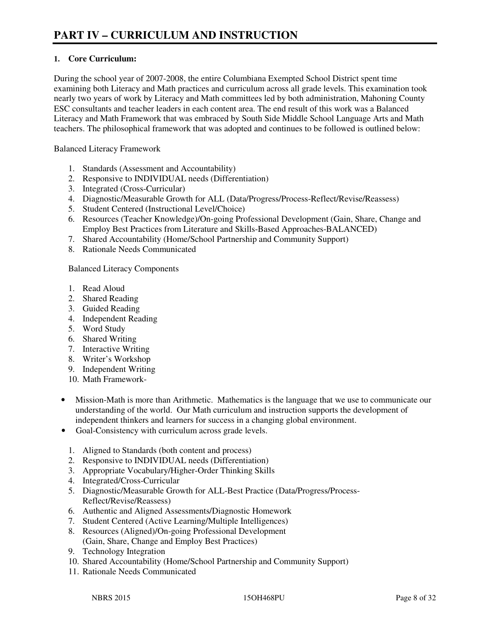## **1. Core Curriculum:**

During the school year of 2007-2008, the entire Columbiana Exempted School District spent time examining both Literacy and Math practices and curriculum across all grade levels. This examination took nearly two years of work by Literacy and Math committees led by both administration, Mahoning County ESC consultants and teacher leaders in each content area. The end result of this work was a Balanced Literacy and Math Framework that was embraced by South Side Middle School Language Arts and Math teachers. The philosophical framework that was adopted and continues to be followed is outlined below:

Balanced Literacy Framework

- 1. Standards (Assessment and Accountability)
- 2. Responsive to INDIVIDUAL needs (Differentiation)
- 3. Integrated (Cross-Curricular)
- 4. Diagnostic/Measurable Growth for ALL (Data/Progress/Process-Reflect/Revise/Reassess)
- 5. Student Centered (Instructional Level/Choice)
- 6. Resources (Teacher Knowledge)/On-going Professional Development (Gain, Share, Change and Employ Best Practices from Literature and Skills-Based Approaches-BALANCED)
- 7. Shared Accountability (Home/School Partnership and Community Support)
- 8. Rationale Needs Communicated

#### Balanced Literacy Components

- 1. Read Aloud
- 2. Shared Reading
- 3. Guided Reading
- 4. Independent Reading
- 5. Word Study
- 6. Shared Writing
- 7. Interactive Writing
- 8. Writer's Workshop
- 9. Independent Writing
- 10. Math Framework-
- Mission-Math is more than Arithmetic. Mathematics is the language that we use to communicate our understanding of the world. Our Math curriculum and instruction supports the development of independent thinkers and learners for success in a changing global environment.
- Goal-Consistency with curriculum across grade levels.
	- 1. Aligned to Standards (both content and process)
	- 2. Responsive to INDIVIDUAL needs (Differentiation)
	- 3. Appropriate Vocabulary/Higher-Order Thinking Skills
	- 4. Integrated/Cross-Curricular
	- 5. Diagnostic/Measurable Growth for ALL-Best Practice (Data/Progress/Process-Reflect/Revise/Reassess)
	- 6. Authentic and Aligned Assessments/Diagnostic Homework
	- 7. Student Centered (Active Learning/Multiple Intelligences)
	- 8. Resources (Aligned)/On-going Professional Development (Gain, Share, Change and Employ Best Practices)
	- 9. Technology Integration
	- 10. Shared Accountability (Home/School Partnership and Community Support)
	- 11. Rationale Needs Communicated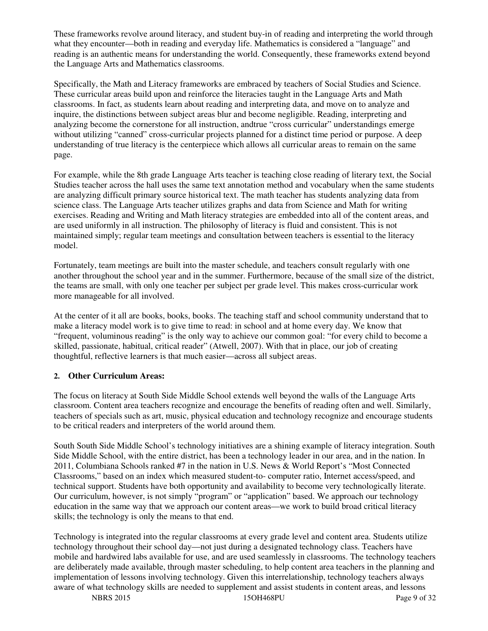These frameworks revolve around literacy, and student buy-in of reading and interpreting the world through what they encounter—both in reading and everyday life. Mathematics is considered a "language" and reading is an authentic means for understanding the world. Consequently, these frameworks extend beyond the Language Arts and Mathematics classrooms.

Specifically, the Math and Literacy frameworks are embraced by teachers of Social Studies and Science. These curricular areas build upon and reinforce the literacies taught in the Language Arts and Math classrooms. In fact, as students learn about reading and interpreting data, and move on to analyze and inquire, the distinctions between subject areas blur and become negligible. Reading, interpreting and analyzing become the cornerstone for all instruction, andtrue "cross curricular" understandings emerge without utilizing "canned" cross-curricular projects planned for a distinct time period or purpose. A deep understanding of true literacy is the centerpiece which allows all curricular areas to remain on the same page.

For example, while the 8th grade Language Arts teacher is teaching close reading of literary text, the Social Studies teacher across the hall uses the same text annotation method and vocabulary when the same students are analyzing difficult primary source historical text. The math teacher has students analyzing data from science class. The Language Arts teacher utilizes graphs and data from Science and Math for writing exercises. Reading and Writing and Math literacy strategies are embedded into all of the content areas, and are used uniformly in all instruction. The philosophy of literacy is fluid and consistent. This is not maintained simply; regular team meetings and consultation between teachers is essential to the literacy model.

Fortunately, team meetings are built into the master schedule, and teachers consult regularly with one another throughout the school year and in the summer. Furthermore, because of the small size of the district, the teams are small, with only one teacher per subject per grade level. This makes cross-curricular work more manageable for all involved.

At the center of it all are books, books, books. The teaching staff and school community understand that to make a literacy model work is to give time to read: in school and at home every day. We know that "frequent, voluminous reading" is the only way to achieve our common goal: "for every child to become a skilled, passionate, habitual, critical reader" (Atwell, 2007). With that in place, our job of creating thoughtful, reflective learners is that much easier—across all subject areas.

#### **2. Other Curriculum Areas:**

The focus on literacy at South Side Middle School extends well beyond the walls of the Language Arts classroom. Content area teachers recognize and encourage the benefits of reading often and well. Similarly, teachers of specials such as art, music, physical education and technology recognize and encourage students to be critical readers and interpreters of the world around them.

South South Side Middle School's technology initiatives are a shining example of literacy integration. South Side Middle School, with the entire district, has been a technology leader in our area, and in the nation. In 2011, Columbiana Schools ranked #7 in the nation in U.S. News & World Report's "Most Connected Classrooms," based on an index which measured student-to- computer ratio, Internet access/speed, and technical support. Students have both opportunity and availability to become very technologically literate. Our curriculum, however, is not simply "program" or "application" based. We approach our technology education in the same way that we approach our content areas—we work to build broad critical literacy skills; the technology is only the means to that end.

Technology is integrated into the regular classrooms at every grade level and content area. Students utilize technology throughout their school day—not just during a designated technology class. Teachers have mobile and hardwired labs available for use, and are used seamlessly in classrooms. The technology teachers are deliberately made available, through master scheduling, to help content area teachers in the planning and implementation of lessons involving technology. Given this interrelationship, technology teachers always aware of what technology skills are needed to supplement and assist students in content areas, and lessons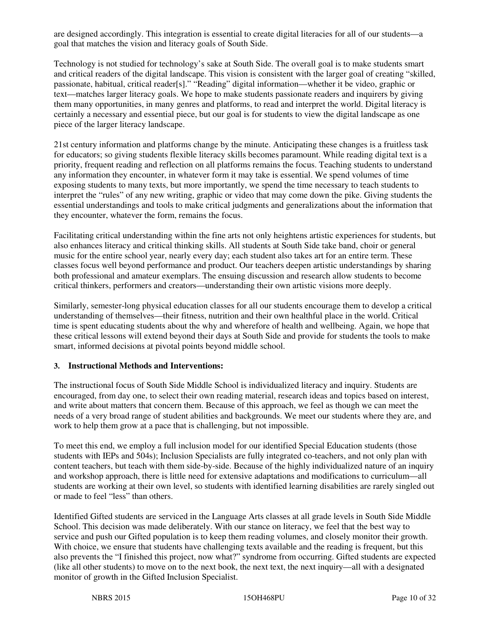are designed accordingly. This integration is essential to create digital literacies for all of our students—a goal that matches the vision and literacy goals of South Side.

Technology is not studied for technology's sake at South Side. The overall goal is to make students smart and critical readers of the digital landscape. This vision is consistent with the larger goal of creating "skilled, passionate, habitual, critical reader[s]." "Reading" digital information—whether it be video, graphic or text—matches larger literacy goals. We hope to make students passionate readers and inquirers by giving them many opportunities, in many genres and platforms, to read and interpret the world. Digital literacy is certainly a necessary and essential piece, but our goal is for students to view the digital landscape as one piece of the larger literacy landscape.

21st century information and platforms change by the minute. Anticipating these changes is a fruitless task for educators; so giving students flexible literacy skills becomes paramount. While reading digital text is a priority, frequent reading and reflection on all platforms remains the focus. Teaching students to understand any information they encounter, in whatever form it may take is essential. We spend volumes of time exposing students to many texts, but more importantly, we spend the time necessary to teach students to interpret the "rules" of any new writing, graphic or video that may come down the pike. Giving students the essential understandings and tools to make critical judgments and generalizations about the information that they encounter, whatever the form, remains the focus.

Facilitating critical understanding within the fine arts not only heightens artistic experiences for students, but also enhances literacy and critical thinking skills. All students at South Side take band, choir or general music for the entire school year, nearly every day; each student also takes art for an entire term. These classes focus well beyond performance and product. Our teachers deepen artistic understandings by sharing both professional and amateur exemplars. The ensuing discussion and research allow students to become critical thinkers, performers and creators—understanding their own artistic visions more deeply.

Similarly, semester-long physical education classes for all our students encourage them to develop a critical understanding of themselves—their fitness, nutrition and their own healthful place in the world. Critical time is spent educating students about the why and wherefore of health and wellbeing. Again, we hope that these critical lessons will extend beyond their days at South Side and provide for students the tools to make smart, informed decisions at pivotal points beyond middle school.

## **3. Instructional Methods and Interventions:**

The instructional focus of South Side Middle School is individualized literacy and inquiry. Students are encouraged, from day one, to select their own reading material, research ideas and topics based on interest, and write about matters that concern them. Because of this approach, we feel as though we can meet the needs of a very broad range of student abilities and backgrounds. We meet our students where they are, and work to help them grow at a pace that is challenging, but not impossible.

To meet this end, we employ a full inclusion model for our identified Special Education students (those students with IEPs and 504s); Inclusion Specialists are fully integrated co-teachers, and not only plan with content teachers, but teach with them side-by-side. Because of the highly individualized nature of an inquiry and workshop approach, there is little need for extensive adaptations and modifications to curriculum—all students are working at their own level, so students with identified learning disabilities are rarely singled out or made to feel "less" than others.

Identified Gifted students are serviced in the Language Arts classes at all grade levels in South Side Middle School. This decision was made deliberately. With our stance on literacy, we feel that the best way to service and push our Gifted population is to keep them reading volumes, and closely monitor their growth. With choice, we ensure that students have challenging texts available and the reading is frequent, but this also prevents the "I finished this project, now what?" syndrome from occurring. Gifted students are expected (like all other students) to move on to the next book, the next text, the next inquiry—all with a designated monitor of growth in the Gifted Inclusion Specialist.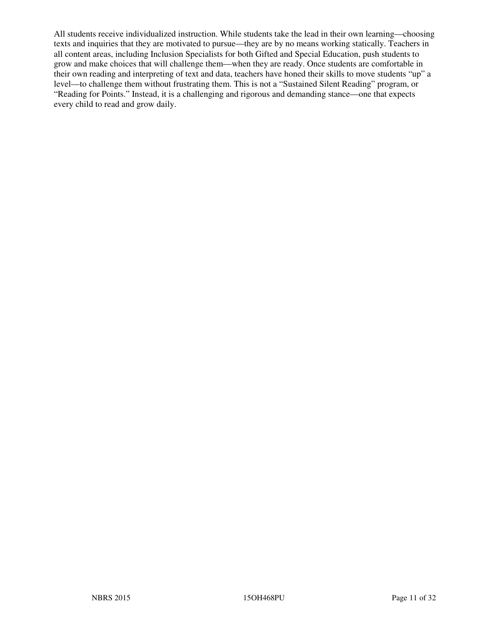All students receive individualized instruction. While students take the lead in their own learning—choosing texts and inquiries that they are motivated to pursue—they are by no means working statically. Teachers in all content areas, including Inclusion Specialists for both Gifted and Special Education, push students to grow and make choices that will challenge them—when they are ready. Once students are comfortable in their own reading and interpreting of text and data, teachers have honed their skills to move students "up" a level—to challenge them without frustrating them. This is not a "Sustained Silent Reading" program, or "Reading for Points." Instead, it is a challenging and rigorous and demanding stance—one that expects every child to read and grow daily.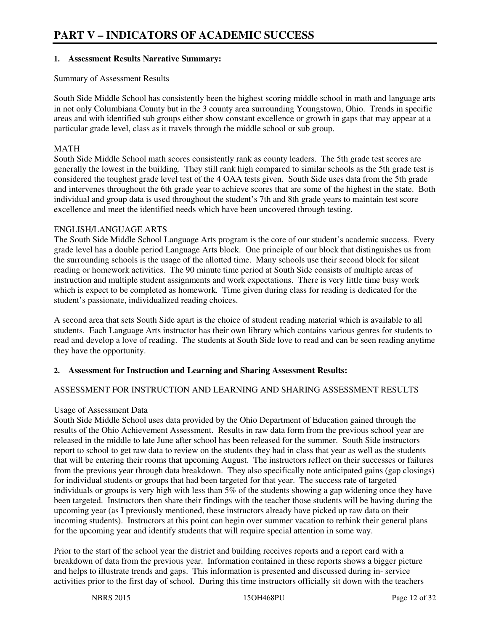#### **1. Assessment Results Narrative Summary:**

#### Summary of Assessment Results

South Side Middle School has consistently been the highest scoring middle school in math and language arts in not only Columbiana County but in the 3 county area surrounding Youngstown, Ohio. Trends in specific areas and with identified sub groups either show constant excellence or growth in gaps that may appear at a particular grade level, class as it travels through the middle school or sub group.

#### MATH

South Side Middle School math scores consistently rank as county leaders. The 5th grade test scores are generally the lowest in the building. They still rank high compared to similar schools as the 5th grade test is considered the toughest grade level test of the 4 OAA tests given. South Side uses data from the 5th grade and intervenes throughout the 6th grade year to achieve scores that are some of the highest in the state. Both individual and group data is used throughout the student's 7th and 8th grade years to maintain test score excellence and meet the identified needs which have been uncovered through testing.

#### ENGLISH/LANGUAGE ARTS

The South Side Middle School Language Arts program is the core of our student's academic success. Every grade level has a double period Language Arts block. One principle of our block that distinguishes us from the surrounding schools is the usage of the allotted time. Many schools use their second block for silent reading or homework activities. The 90 minute time period at South Side consists of multiple areas of instruction and multiple student assignments and work expectations. There is very little time busy work which is expect to be completed as homework. Time given during class for reading is dedicated for the student's passionate, individualized reading choices.

A second area that sets South Side apart is the choice of student reading material which is available to all students. Each Language Arts instructor has their own library which contains various genres for students to read and develop a love of reading. The students at South Side love to read and can be seen reading anytime they have the opportunity.

## **2. Assessment for Instruction and Learning and Sharing Assessment Results:**

## ASSESSMENT FOR INSTRUCTION AND LEARNING AND SHARING ASSESSMENT RESULTS

#### Usage of Assessment Data

South Side Middle School uses data provided by the Ohio Department of Education gained through the results of the Ohio Achievement Assessment. Results in raw data form from the previous school year are released in the middle to late June after school has been released for the summer. South Side instructors report to school to get raw data to review on the students they had in class that year as well as the students that will be entering their rooms that upcoming August. The instructors reflect on their successes or failures from the previous year through data breakdown. They also specifically note anticipated gains (gap closings) for individual students or groups that had been targeted for that year. The success rate of targeted individuals or groups is very high with less than 5% of the students showing a gap widening once they have been targeted. Instructors then share their findings with the teacher those students will be having during the upcoming year (as I previously mentioned, these instructors already have picked up raw data on their incoming students). Instructors at this point can begin over summer vacation to rethink their general plans for the upcoming year and identify students that will require special attention in some way.

Prior to the start of the school year the district and building receives reports and a report card with a breakdown of data from the previous year. Information contained in these reports shows a bigger picture and helps to illustrate trends and gaps. This information is presented and discussed during in- service activities prior to the first day of school. During this time instructors officially sit down with the teachers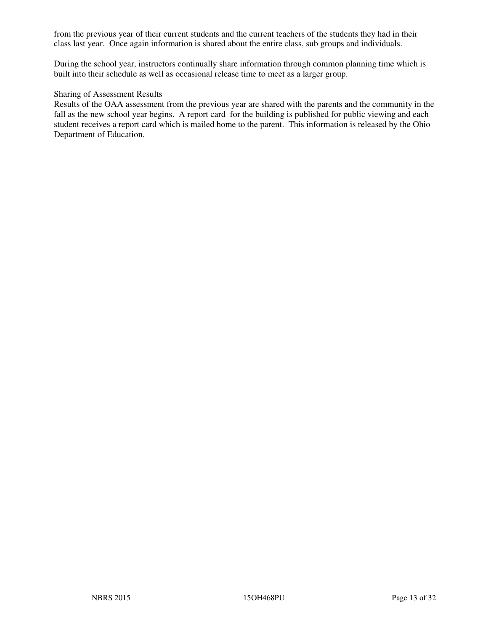from the previous year of their current students and the current teachers of the students they had in their class last year. Once again information is shared about the entire class, sub groups and individuals.

During the school year, instructors continually share information through common planning time which is built into their schedule as well as occasional release time to meet as a larger group.

#### Sharing of Assessment Results

Results of the OAA assessment from the previous year are shared with the parents and the community in the fall as the new school year begins. A report card for the building is published for public viewing and each student receives a report card which is mailed home to the parent. This information is released by the Ohio Department of Education.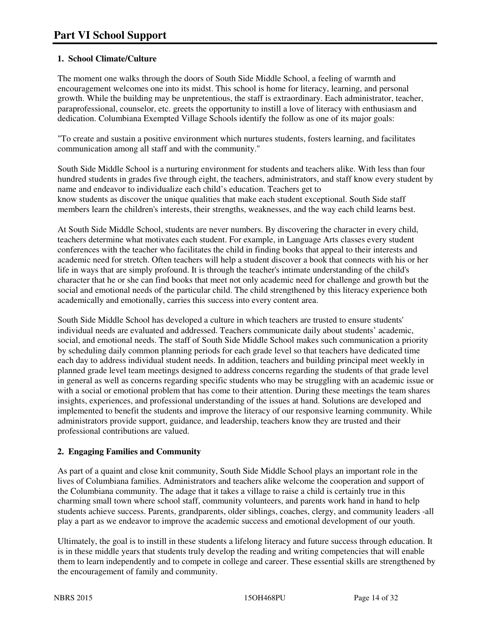# **1. School Climate/Culture**

The moment one walks through the doors of South Side Middle School, a feeling of warmth and encouragement welcomes one into its midst. This school is home for literacy, learning, and personal growth. While the building may be unpretentious, the staff is extraordinary. Each administrator, teacher, paraprofessional, counselor, etc. greets the opportunity to instill a love of literacy with enthusiasm and dedication. Columbiana Exempted Village Schools identify the follow as one of its major goals:

"To create and sustain a positive environment which nurtures students, fosters learning, and facilitates communication among all staff and with the community."

South Side Middle School is a nurturing environment for students and teachers alike. With less than four hundred students in grades five through eight, the teachers, administrators, and staff know every student by name and endeavor to individualize each child's education. Teachers get to know students as discover the unique qualities that make each student exceptional. South Side staff members learn the children's interests, their strengths, weaknesses, and the way each child learns best.

At South Side Middle School, students are never numbers. By discovering the character in every child, teachers determine what motivates each student. For example, in Language Arts classes every student conferences with the teacher who facilitates the child in finding books that appeal to their interests and academic need for stretch. Often teachers will help a student discover a book that connects with his or her life in ways that are simply profound. It is through the teacher's intimate understanding of the child's character that he or she can find books that meet not only academic need for challenge and growth but the social and emotional needs of the particular child. The child strengthened by this literacy experience both academically and emotionally, carries this success into every content area.

South Side Middle School has developed a culture in which teachers are trusted to ensure students' individual needs are evaluated and addressed. Teachers communicate daily about students' academic, social, and emotional needs. The staff of South Side Middle School makes such communication a priority by scheduling daily common planning periods for each grade level so that teachers have dedicated time each day to address individual student needs. In addition, teachers and building principal meet weekly in planned grade level team meetings designed to address concerns regarding the students of that grade level in general as well as concerns regarding specific students who may be struggling with an academic issue or with a social or emotional problem that has come to their attention. During these meetings the team shares insights, experiences, and professional understanding of the issues at hand. Solutions are developed and implemented to benefit the students and improve the literacy of our responsive learning community. While administrators provide support, guidance, and leadership, teachers know they are trusted and their professional contributions are valued.

## **2. Engaging Families and Community**

As part of a quaint and close knit community, South Side Middle School plays an important role in the lives of Columbiana families. Administrators and teachers alike welcome the cooperation and support of the Columbiana community. The adage that it takes a village to raise a child is certainly true in this charming small town where school staff, community volunteers, and parents work hand in hand to help students achieve success. Parents, grandparents, older siblings, coaches, clergy, and community leaders -all play a part as we endeavor to improve the academic success and emotional development of our youth.

Ultimately, the goal is to instill in these students a lifelong literacy and future success through education. It is in these middle years that students truly develop the reading and writing competencies that will enable them to learn independently and to compete in college and career. These essential skills are strengthened by the encouragement of family and community.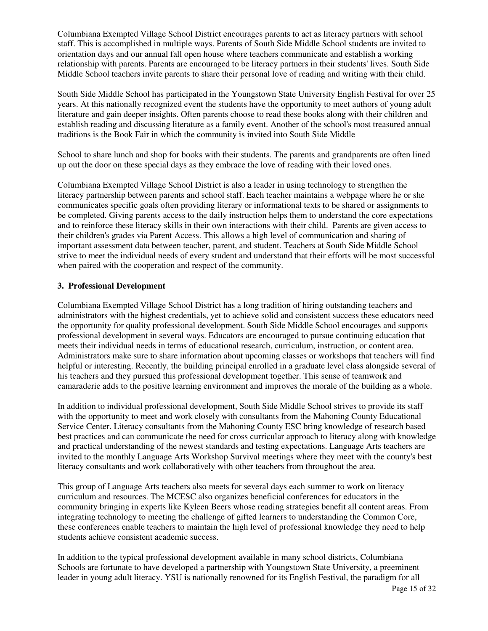Columbiana Exempted Village School District encourages parents to act as literacy partners with school staff. This is accomplished in multiple ways. Parents of South Side Middle School students are invited to orientation days and our annual fall open house where teachers communicate and establish a working relationship with parents. Parents are encouraged to be literacy partners in their students' lives. South Side Middle School teachers invite parents to share their personal love of reading and writing with their child.

South Side Middle School has participated in the Youngstown State University English Festival for over 25 years. At this nationally recognized event the students have the opportunity to meet authors of young adult literature and gain deeper insights. Often parents choose to read these books along with their children and establish reading and discussing literature as a family event. Another of the school's most treasured annual traditions is the Book Fair in which the community is invited into South Side Middle

School to share lunch and shop for books with their students. The parents and grandparents are often lined up out the door on these special days as they embrace the love of reading with their loved ones.

Columbiana Exempted Village School District is also a leader in using technology to strengthen the literacy partnership between parents and school staff. Each teacher maintains a webpage where he or she communicates specific goals often providing literary or informational texts to be shared or assignments to be completed. Giving parents access to the daily instruction helps them to understand the core expectations and to reinforce these literacy skills in their own interactions with their child. Parents are given access to their children's grades via Parent Access. This allows a high level of communication and sharing of important assessment data between teacher, parent, and student. Teachers at South Side Middle School strive to meet the individual needs of every student and understand that their efforts will be most successful when paired with the cooperation and respect of the community.

#### **3. Professional Development**

Columbiana Exempted Village School District has a long tradition of hiring outstanding teachers and administrators with the highest credentials, yet to achieve solid and consistent success these educators need the opportunity for quality professional development. South Side Middle School encourages and supports professional development in several ways. Educators are encouraged to pursue continuing education that meets their individual needs in terms of educational research, curriculum, instruction, or content area. Administrators make sure to share information about upcoming classes or workshops that teachers will find helpful or interesting. Recently, the building principal enrolled in a graduate level class alongside several of his teachers and they pursued this professional development together. This sense of teamwork and camaraderie adds to the positive learning environment and improves the morale of the building as a whole.

In addition to individual professional development, South Side Middle School strives to provide its staff with the opportunity to meet and work closely with consultants from the Mahoning County Educational Service Center. Literacy consultants from the Mahoning County ESC bring knowledge of research based best practices and can communicate the need for cross curricular approach to literacy along with knowledge and practical understanding of the newest standards and testing expectations. Language Arts teachers are invited to the monthly Language Arts Workshop Survival meetings where they meet with the county's best literacy consultants and work collaboratively with other teachers from throughout the area.

This group of Language Arts teachers also meets for several days each summer to work on literacy curriculum and resources. The MCESC also organizes beneficial conferences for educators in the community bringing in experts like Kyleen Beers whose reading strategies benefit all content areas. From integrating technology to meeting the challenge of gifted learners to understanding the Common Core, these conferences enable teachers to maintain the high level of professional knowledge they need to help students achieve consistent academic success.

In addition to the typical professional development available in many school districts, Columbiana Schools are fortunate to have developed a partnership with Youngstown State University, a preeminent leader in young adult literacy. YSU is nationally renowned for its English Festival, the paradigm for all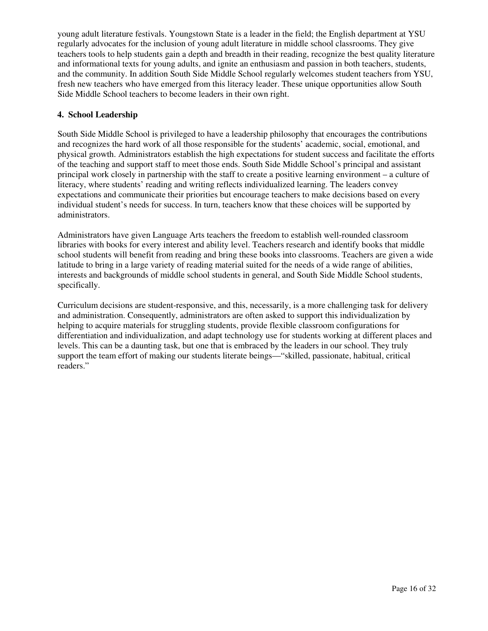young adult literature festivals. Youngstown State is a leader in the field; the English department at YSU regularly advocates for the inclusion of young adult literature in middle school classrooms. They give teachers tools to help students gain a depth and breadth in their reading, recognize the best quality literature and informational texts for young adults, and ignite an enthusiasm and passion in both teachers, students, and the community. In addition South Side Middle School regularly welcomes student teachers from YSU, fresh new teachers who have emerged from this literacy leader. These unique opportunities allow South Side Middle School teachers to become leaders in their own right.

#### **4. School Leadership**

South Side Middle School is privileged to have a leadership philosophy that encourages the contributions and recognizes the hard work of all those responsible for the students' academic, social, emotional, and physical growth. Administrators establish the high expectations for student success and facilitate the efforts of the teaching and support staff to meet those ends. South Side Middle School's principal and assistant principal work closely in partnership with the staff to create a positive learning environment – a culture of literacy, where students' reading and writing reflects individualized learning. The leaders convey expectations and communicate their priorities but encourage teachers to make decisions based on every individual student's needs for success. In turn, teachers know that these choices will be supported by administrators.

Administrators have given Language Arts teachers the freedom to establish well-rounded classroom libraries with books for every interest and ability level. Teachers research and identify books that middle school students will benefit from reading and bring these books into classrooms. Teachers are given a wide latitude to bring in a large variety of reading material suited for the needs of a wide range of abilities, interests and backgrounds of middle school students in general, and South Side Middle School students, specifically.

Curriculum decisions are student-responsive, and this, necessarily, is a more challenging task for delivery and administration. Consequently, administrators are often asked to support this individualization by helping to acquire materials for struggling students, provide flexible classroom configurations for differentiation and individualization, and adapt technology use for students working at different places and levels. This can be a daunting task, but one that is embraced by the leaders in our school. They truly support the team effort of making our students literate beings—"skilled, passionate, habitual, critical readers."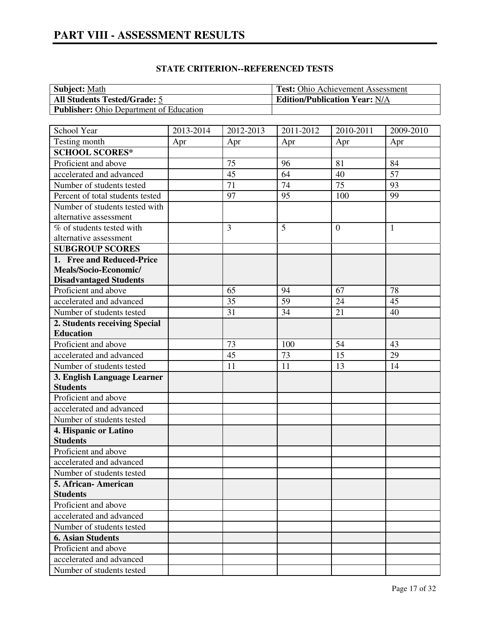| <b>Subject:</b> Math                           | <b>Test:</b> Ohio Achievement Assessment |
|------------------------------------------------|------------------------------------------|
| <b>All Students Tested/Grade: 5</b>            | <b>Edition/Publication Year: N/A</b>     |
| <b>Publisher:</b> Ohio Department of Education |                                          |

| School Year                      | 2013-2014 | 2012-2013 | 2011-2012 | 2010-2011 | 2009-2010    |
|----------------------------------|-----------|-----------|-----------|-----------|--------------|
| Testing month                    | Apr       | Apr       | Apr       | Apr       | Apr          |
| <b>SCHOOL SCORES*</b>            |           |           |           |           |              |
| Proficient and above             |           | 75        | 96        | 81        | 84           |
| accelerated and advanced         |           | 45        | 64        | 40        | 57           |
| Number of students tested        |           | 71        | 74        | 75        | 93           |
| Percent of total students tested |           | 97        | 95        | 100       | 99           |
| Number of students tested with   |           |           |           |           |              |
| alternative assessment           |           |           |           |           |              |
| % of students tested with        |           | 3         | 5         | $\theta$  | $\mathbf{1}$ |
| alternative assessment           |           |           |           |           |              |
| <b>SUBGROUP SCORES</b>           |           |           |           |           |              |
| 1. Free and Reduced-Price        |           |           |           |           |              |
| Meals/Socio-Economic/            |           |           |           |           |              |
| <b>Disadvantaged Students</b>    |           |           |           |           |              |
| Proficient and above             |           | 65        | 94        | 67        | 78           |
| accelerated and advanced         |           | 35        | 59        | 24        | 45           |
| Number of students tested        |           | 31        | 34        | 21        | 40           |
| 2. Students receiving Special    |           |           |           |           |              |
| <b>Education</b>                 |           |           |           |           |              |
| Proficient and above             |           | 73        | 100       | 54        | 43           |
| accelerated and advanced         |           | 45        | 73        | 15        | 29           |
| Number of students tested        |           | 11        | 11        | 13        | 14           |
| 3. English Language Learner      |           |           |           |           |              |
| <b>Students</b>                  |           |           |           |           |              |
| Proficient and above             |           |           |           |           |              |
| accelerated and advanced         |           |           |           |           |              |
| Number of students tested        |           |           |           |           |              |
| 4. Hispanic or Latino            |           |           |           |           |              |
| <b>Students</b>                  |           |           |           |           |              |
| Proficient and above             |           |           |           |           |              |
| accelerated and advanced         |           |           |           |           |              |
| Number of students tested        |           |           |           |           |              |
| 5. African-American              |           |           |           |           |              |
| <b>Students</b>                  |           |           |           |           |              |
| Proficient and above             |           |           |           |           |              |
| accelerated and advanced         |           |           |           |           |              |
| Number of students tested        |           |           |           |           |              |
| <b>6. Asian Students</b>         |           |           |           |           |              |
| Proficient and above             |           |           |           |           |              |
| accelerated and advanced         |           |           |           |           |              |
| Number of students tested        |           |           |           |           |              |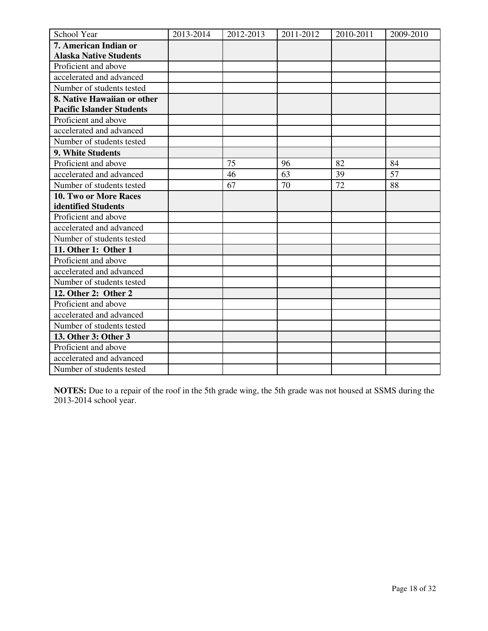| School Year                      | 2013-2014 | 2012-2013 | 2011-2012 | 2010-2011 | 2009-2010 |
|----------------------------------|-----------|-----------|-----------|-----------|-----------|
| 7. American Indian or            |           |           |           |           |           |
| <b>Alaska Native Students</b>    |           |           |           |           |           |
| Proficient and above             |           |           |           |           |           |
| accelerated and advanced         |           |           |           |           |           |
| Number of students tested        |           |           |           |           |           |
| 8. Native Hawaiian or other      |           |           |           |           |           |
| <b>Pacific Islander Students</b> |           |           |           |           |           |
| Proficient and above             |           |           |           |           |           |
| accelerated and advanced         |           |           |           |           |           |
| Number of students tested        |           |           |           |           |           |
| 9. White Students                |           |           |           |           |           |
| Proficient and above             |           | 75        | 96        | 82        | 84        |
| accelerated and advanced         |           | 46        | 63        | 39        | 57        |
| Number of students tested        |           | 67        | 70        | 72        | 88        |
| 10. Two or More Races            |           |           |           |           |           |
| identified Students              |           |           |           |           |           |
| Proficient and above             |           |           |           |           |           |
| accelerated and advanced         |           |           |           |           |           |
| Number of students tested        |           |           |           |           |           |
| 11. Other 1: Other 1             |           |           |           |           |           |
| Proficient and above             |           |           |           |           |           |
| accelerated and advanced         |           |           |           |           |           |
| Number of students tested        |           |           |           |           |           |
| 12. Other 2: Other 2             |           |           |           |           |           |
| Proficient and above             |           |           |           |           |           |
| accelerated and advanced         |           |           |           |           |           |
| Number of students tested        |           |           |           |           |           |
| 13. Other 3: Other 3             |           |           |           |           |           |
| Proficient and above             |           |           |           |           |           |
| accelerated and advanced         |           |           |           |           |           |
| Number of students tested        |           |           |           |           |           |

**NOTES:** Due to a repair of the roof in the 5th grade wing, the 5th grade was not housed at SSMS during the 2013-2014 school year.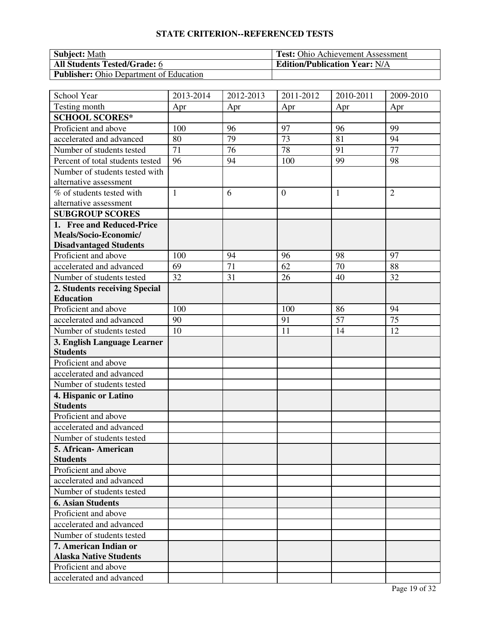| <b>Subject:</b> Math                           | <b>Test:</b> Ohio Achievement Assessment |
|------------------------------------------------|------------------------------------------|
| <b>All Students Tested/Grade: 6</b>            | <b>Edition/Publication Year: N/A</b>     |
| <b>Publisher:</b> Ohio Department of Education |                                          |

| School Year                      | 2013-2014    | 2012-2013 | 2011-2012      | 2010-2011 | 2009-2010       |
|----------------------------------|--------------|-----------|----------------|-----------|-----------------|
| Testing month                    | Apr          | Apr       | Apr            | Apr       | Apr             |
| <b>SCHOOL SCORES*</b>            |              |           |                |           |                 |
| Proficient and above             | 100          | 96        | 97             | 96        | 99              |
| accelerated and advanced         | 80           | 79        | 73             | 81        | 94              |
| Number of students tested        | 71           | 76        | 78             | 91        | $\overline{77}$ |
| Percent of total students tested | 96           | 94        | 100            | 99        | 98              |
| Number of students tested with   |              |           |                |           |                 |
| alternative assessment           |              |           |                |           |                 |
| % of students tested with        | $\mathbf{1}$ | 6         | $\overline{0}$ | 1         | $\overline{2}$  |
| alternative assessment           |              |           |                |           |                 |
| <b>SUBGROUP SCORES</b>           |              |           |                |           |                 |
| 1. Free and Reduced-Price        |              |           |                |           |                 |
| Meals/Socio-Economic/            |              |           |                |           |                 |
| <b>Disadvantaged Students</b>    |              |           |                |           |                 |
| Proficient and above             | 100          | 94        | 96             | 98        | 97              |
| accelerated and advanced         | 69           | 71        | 62             | 70        | 88              |
| Number of students tested        | 32           | 31        | 26             | 40        | 32              |
| 2. Students receiving Special    |              |           |                |           |                 |
| <b>Education</b>                 |              |           |                |           |                 |
| Proficient and above             | 100          |           | 100            | 86        | 94              |
| accelerated and advanced         | 90           |           | 91             | 57        | 75              |
| Number of students tested        | 10           |           | 11             | 14        | 12              |
| 3. English Language Learner      |              |           |                |           |                 |
| <b>Students</b>                  |              |           |                |           |                 |
| Proficient and above             |              |           |                |           |                 |
| accelerated and advanced         |              |           |                |           |                 |
| Number of students tested        |              |           |                |           |                 |
| 4. Hispanic or Latino            |              |           |                |           |                 |
| <b>Students</b>                  |              |           |                |           |                 |
| Proficient and above             |              |           |                |           |                 |
| accelerated and advanced         |              |           |                |           |                 |
| Number of students tested        |              |           |                |           |                 |
| 5. African-American              |              |           |                |           |                 |
| <b>Students</b>                  |              |           |                |           |                 |
| Proficient and above             |              |           |                |           |                 |
| accelerated and advanced         |              |           |                |           |                 |
| Number of students tested        |              |           |                |           |                 |
| <b>6. Asian Students</b>         |              |           |                |           |                 |
| Proficient and above             |              |           |                |           |                 |
| accelerated and advanced         |              |           |                |           |                 |
| Number of students tested        |              |           |                |           |                 |
| 7. American Indian or            |              |           |                |           |                 |
| <b>Alaska Native Students</b>    |              |           |                |           |                 |
| Proficient and above             |              |           |                |           |                 |
| accelerated and advanced         |              |           |                |           |                 |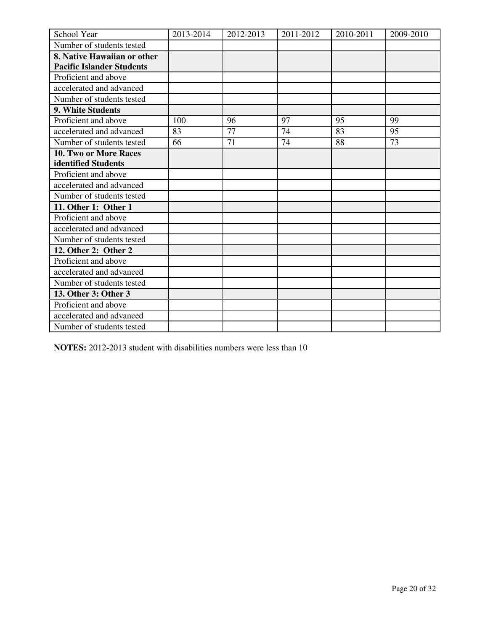| School Year                      | 2013-2014 | 2012-2013 | 2011-2012 | 2010-2011 | 2009-2010 |
|----------------------------------|-----------|-----------|-----------|-----------|-----------|
| Number of students tested        |           |           |           |           |           |
| 8. Native Hawaiian or other      |           |           |           |           |           |
| <b>Pacific Islander Students</b> |           |           |           |           |           |
| Proficient and above             |           |           |           |           |           |
| accelerated and advanced         |           |           |           |           |           |
| Number of students tested        |           |           |           |           |           |
| <b>9. White Students</b>         |           |           |           |           |           |
| Proficient and above             | 100       | 96        | 97        | 95        | 99        |
| accelerated and advanced         | 83        | 77        | 74        | 83        | 95        |
| Number of students tested        | 66        | 71        | 74        | 88        | 73        |
| 10. Two or More Races            |           |           |           |           |           |
| identified Students              |           |           |           |           |           |
| Proficient and above             |           |           |           |           |           |
| accelerated and advanced         |           |           |           |           |           |
| Number of students tested        |           |           |           |           |           |
| 11. Other 1: Other 1             |           |           |           |           |           |
| Proficient and above             |           |           |           |           |           |
| accelerated and advanced         |           |           |           |           |           |
| Number of students tested        |           |           |           |           |           |
| 12. Other 2: Other 2             |           |           |           |           |           |
| Proficient and above             |           |           |           |           |           |
| accelerated and advanced         |           |           |           |           |           |
| Number of students tested        |           |           |           |           |           |
| 13. Other 3: Other 3             |           |           |           |           |           |
| Proficient and above             |           |           |           |           |           |
| accelerated and advanced         |           |           |           |           |           |
| Number of students tested        |           |           |           |           |           |

**NOTES:** 2012-2013 student with disabilities numbers were less than 10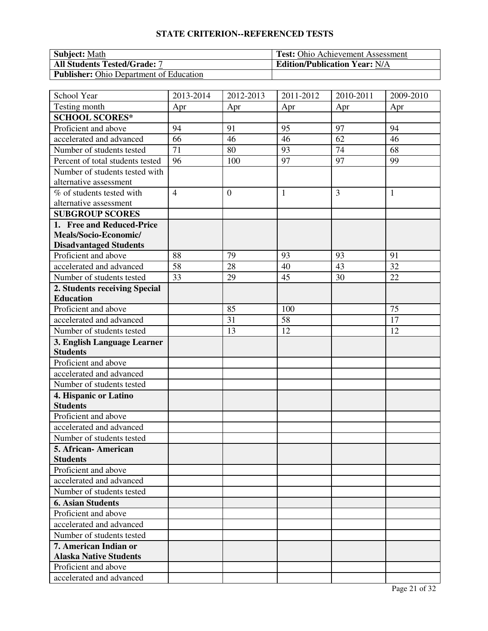| <b>Subject:</b> Math                           | <b>Test:</b> Ohio Achievement Assessment |
|------------------------------------------------|------------------------------------------|
| <b>All Students Tested/Grade: 7</b>            | <b>Edition/Publication Year: N/A</b>     |
| <b>Publisher:</b> Ohio Department of Education |                                          |

| School Year                      | 2013-2014      | 2012-2013        | 2011-2012    | 2010-2011 | 2009-2010 |
|----------------------------------|----------------|------------------|--------------|-----------|-----------|
| Testing month                    | Apr            | Apr              | Apr          | Apr       | Apr       |
| <b>SCHOOL SCORES*</b>            |                |                  |              |           |           |
| Proficient and above             | 94             | 91               | 95           | 97        | 94        |
| accelerated and advanced         | 66             | 46               | 46           | 62        | 46        |
| Number of students tested        | 71             | 80               | 93           | 74        | 68        |
| Percent of total students tested | 96             | 100              | 97           | 97        | 99        |
| Number of students tested with   |                |                  |              |           |           |
| alternative assessment           |                |                  |              |           |           |
| % of students tested with        | $\overline{4}$ | $\boldsymbol{0}$ | $\mathbf{1}$ | 3         | 1         |
| alternative assessment           |                |                  |              |           |           |
| <b>SUBGROUP SCORES</b>           |                |                  |              |           |           |
| 1. Free and Reduced-Price        |                |                  |              |           |           |
| Meals/Socio-Economic/            |                |                  |              |           |           |
| <b>Disadvantaged Students</b>    |                |                  |              |           |           |
| Proficient and above             | 88             | 79               | 93           | 93        | 91        |
| accelerated and advanced         | 58             | 28               | 40           | 43        | 32        |
| Number of students tested        | 33             | 29               | 45           | 30        | 22        |
| 2. Students receiving Special    |                |                  |              |           |           |
| <b>Education</b>                 |                |                  |              |           |           |
| Proficient and above             |                | 85               | 100          |           | 75        |
| accelerated and advanced         |                | 31               | 58           |           | 17        |
| Number of students tested        |                | 13               | 12           |           | 12        |
| 3. English Language Learner      |                |                  |              |           |           |
| <b>Students</b>                  |                |                  |              |           |           |
| Proficient and above             |                |                  |              |           |           |
| accelerated and advanced         |                |                  |              |           |           |
| Number of students tested        |                |                  |              |           |           |
| 4. Hispanic or Latino            |                |                  |              |           |           |
| <b>Students</b>                  |                |                  |              |           |           |
| Proficient and above             |                |                  |              |           |           |
| accelerated and advanced         |                |                  |              |           |           |
| Number of students tested        |                |                  |              |           |           |
| 5. African-American              |                |                  |              |           |           |
| <b>Students</b>                  |                |                  |              |           |           |
| Proficient and above             |                |                  |              |           |           |
| accelerated and advanced         |                |                  |              |           |           |
| Number of students tested        |                |                  |              |           |           |
| <b>6. Asian Students</b>         |                |                  |              |           |           |
| Proficient and above             |                |                  |              |           |           |
| accelerated and advanced         |                |                  |              |           |           |
| Number of students tested        |                |                  |              |           |           |
| 7. American Indian or            |                |                  |              |           |           |
| <b>Alaska Native Students</b>    |                |                  |              |           |           |
| Proficient and above             |                |                  |              |           |           |
| accelerated and advanced         |                |                  |              |           |           |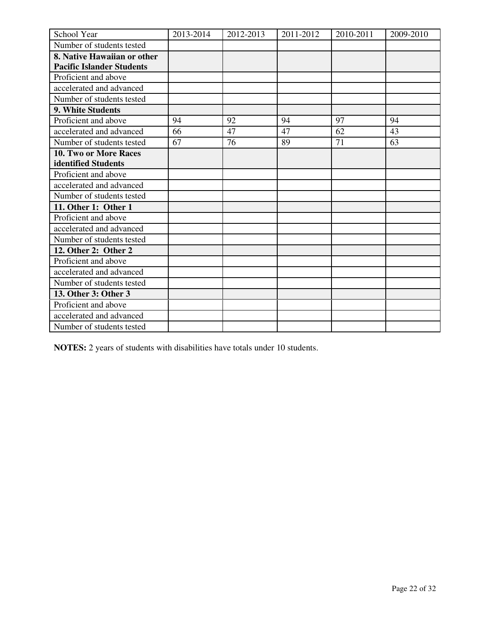| School Year                      | 2013-2014 | 2012-2013 | 2011-2012 | 2010-2011 | 2009-2010 |
|----------------------------------|-----------|-----------|-----------|-----------|-----------|
| Number of students tested        |           |           |           |           |           |
| 8. Native Hawaiian or other      |           |           |           |           |           |
| <b>Pacific Islander Students</b> |           |           |           |           |           |
| Proficient and above             |           |           |           |           |           |
| accelerated and advanced         |           |           |           |           |           |
| Number of students tested        |           |           |           |           |           |
| 9. White Students                |           |           |           |           |           |
| Proficient and above             | 94        | 92        | 94        | 97        | 94        |
| accelerated and advanced         | 66        | 47        | 47        | 62        | 43        |
| Number of students tested        | 67        | 76        | 89        | 71        | 63        |
| 10. Two or More Races            |           |           |           |           |           |
| identified Students              |           |           |           |           |           |
| Proficient and above             |           |           |           |           |           |
| accelerated and advanced         |           |           |           |           |           |
| Number of students tested        |           |           |           |           |           |
| 11. Other 1: Other 1             |           |           |           |           |           |
| Proficient and above             |           |           |           |           |           |
| accelerated and advanced         |           |           |           |           |           |
| Number of students tested        |           |           |           |           |           |
| 12. Other 2: Other 2             |           |           |           |           |           |
| Proficient and above             |           |           |           |           |           |
| accelerated and advanced         |           |           |           |           |           |
| Number of students tested        |           |           |           |           |           |
| 13. Other 3: Other 3             |           |           |           |           |           |
| Proficient and above             |           |           |           |           |           |
| accelerated and advanced         |           |           |           |           |           |
| Number of students tested        |           |           |           |           |           |

**NOTES:** 2 years of students with disabilities have totals under 10 students.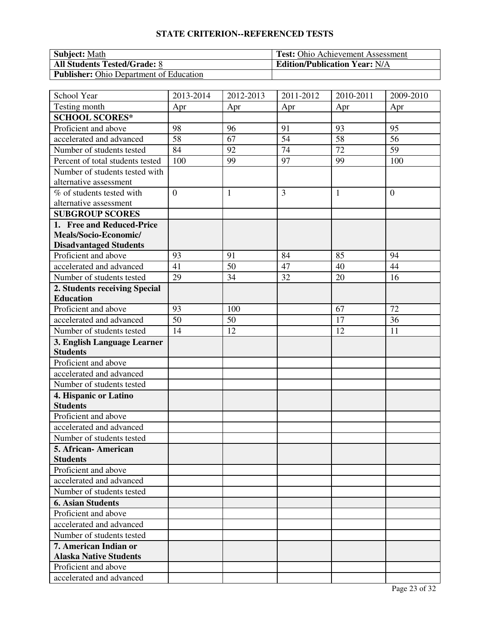| <b>Subject: Math</b>                           | <b>Test:</b> Ohio Achievement Assessment |
|------------------------------------------------|------------------------------------------|
| <b>All Students Tested/Grade: 8</b>            | <b>Edition/Publication Year: N/A</b>     |
| <b>Publisher:</b> Ohio Department of Education |                                          |

| School Year                      | 2013-2014      | 2012-2013 | 2011-2012 | 2010-2011       | 2009-2010      |
|----------------------------------|----------------|-----------|-----------|-----------------|----------------|
| Testing month                    | Apr            | Apr       | Apr       | Apr             | Apr            |
| <b>SCHOOL SCORES*</b>            |                |           |           |                 |                |
| Proficient and above             | 98             | 96        | 91        | 93              | 95             |
| accelerated and advanced         | 58             | 67        | 54        | 58              | 56             |
| Number of students tested        | 84             | 92        | 74        | $\overline{72}$ | 59             |
| Percent of total students tested | 100            | 99        | 97        | 99              | 100            |
| Number of students tested with   |                |           |           |                 |                |
| alternative assessment           |                |           |           |                 |                |
| % of students tested with        | $\overline{0}$ | 1         | 3         | $\mathbf{1}$    | $\overline{0}$ |
| alternative assessment           |                |           |           |                 |                |
| <b>SUBGROUP SCORES</b>           |                |           |           |                 |                |
| 1. Free and Reduced-Price        |                |           |           |                 |                |
| Meals/Socio-Economic/            |                |           |           |                 |                |
| <b>Disadvantaged Students</b>    |                |           |           |                 |                |
| Proficient and above             | 93             | 91        | 84        | 85              | 94             |
| accelerated and advanced         | 41             | 50        | 47        | 40              | 44             |
| Number of students tested        | 29             | 34        | 32        | 20              | 16             |
| 2. Students receiving Special    |                |           |           |                 |                |
| <b>Education</b>                 |                |           |           |                 |                |
| Proficient and above             | 93             | 100       |           | 67              | 72             |
| accelerated and advanced         | 50             | 50        |           | 17              | 36             |
| Number of students tested        | 14             | 12        |           | 12              | 11             |
| 3. English Language Learner      |                |           |           |                 |                |
| <b>Students</b>                  |                |           |           |                 |                |
| Proficient and above             |                |           |           |                 |                |
| accelerated and advanced         |                |           |           |                 |                |
| Number of students tested        |                |           |           |                 |                |
| 4. Hispanic or Latino            |                |           |           |                 |                |
| <b>Students</b>                  |                |           |           |                 |                |
| Proficient and above             |                |           |           |                 |                |
| accelerated and advanced         |                |           |           |                 |                |
| Number of students tested        |                |           |           |                 |                |
| 5. African- American             |                |           |           |                 |                |
| <b>Students</b>                  |                |           |           |                 |                |
| Proficient and above             |                |           |           |                 |                |
| accelerated and advanced         |                |           |           |                 |                |
| Number of students tested        |                |           |           |                 |                |
| <b>6. Asian Students</b>         |                |           |           |                 |                |
| Proficient and above             |                |           |           |                 |                |
| accelerated and advanced         |                |           |           |                 |                |
| Number of students tested        |                |           |           |                 |                |
| 7. American Indian or            |                |           |           |                 |                |
| <b>Alaska Native Students</b>    |                |           |           |                 |                |
| Proficient and above             |                |           |           |                 |                |
| accelerated and advanced         |                |           |           |                 |                |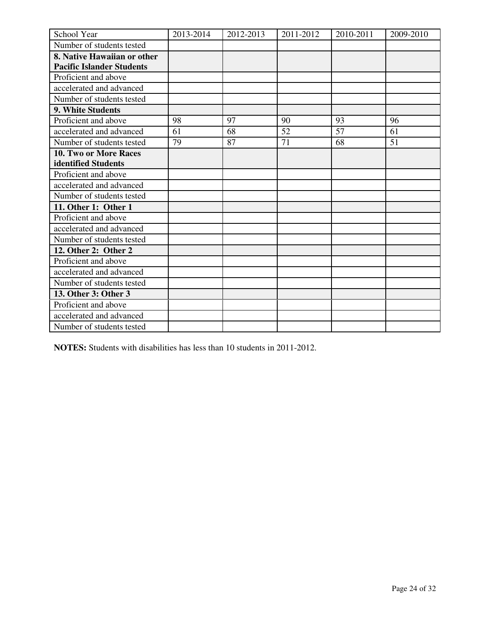| School Year                      | 2013-2014 | 2012-2013 | 2011-2012 | 2010-2011 | 2009-2010 |
|----------------------------------|-----------|-----------|-----------|-----------|-----------|
| Number of students tested        |           |           |           |           |           |
| 8. Native Hawaiian or other      |           |           |           |           |           |
| <b>Pacific Islander Students</b> |           |           |           |           |           |
| Proficient and above             |           |           |           |           |           |
| accelerated and advanced         |           |           |           |           |           |
| Number of students tested        |           |           |           |           |           |
| 9. White Students                |           |           |           |           |           |
| Proficient and above             | 98        | 97        | 90        | 93        | 96        |
| accelerated and advanced         | 61        | 68        | 52        | 57        | 61        |
| Number of students tested        | 79        | 87        | 71        | 68        | 51        |
| 10. Two or More Races            |           |           |           |           |           |
| identified Students              |           |           |           |           |           |
| Proficient and above             |           |           |           |           |           |
| accelerated and advanced         |           |           |           |           |           |
| Number of students tested        |           |           |           |           |           |
| 11. Other 1: Other 1             |           |           |           |           |           |
| Proficient and above             |           |           |           |           |           |
| accelerated and advanced         |           |           |           |           |           |
| Number of students tested        |           |           |           |           |           |
| 12. Other 2: Other 2             |           |           |           |           |           |
| Proficient and above             |           |           |           |           |           |
| accelerated and advanced         |           |           |           |           |           |
| Number of students tested        |           |           |           |           |           |
| 13. Other 3: Other 3             |           |           |           |           |           |
| Proficient and above             |           |           |           |           |           |
| accelerated and advanced         |           |           |           |           |           |
| Number of students tested        |           |           |           |           |           |

**NOTES:** Students with disabilities has less than 10 students in 2011-2012.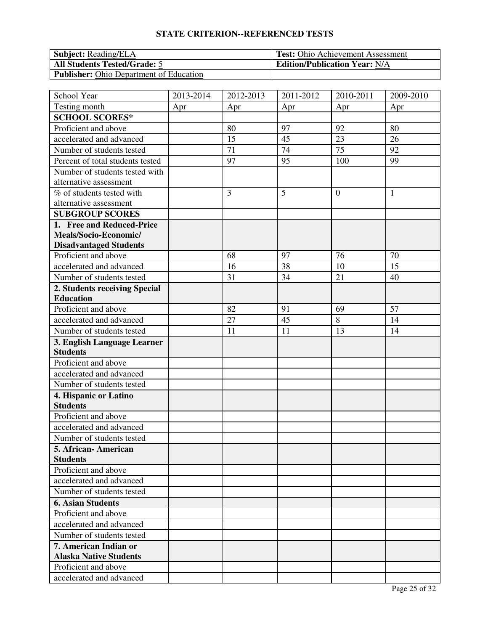| <b>Subject:</b> Reading/ELA                    | <b>Test:</b> Ohio Achievement Assessment |
|------------------------------------------------|------------------------------------------|
| <b>All Students Tested/Grade: 5</b>            | <b>Edition/Publication Year: N/A</b>     |
| <b>Publisher:</b> Ohio Department of Education |                                          |

| School Year                      | 2013-2014 | 2012-2013 | 2011-2012 | 2010-2011 | 2009-2010    |
|----------------------------------|-----------|-----------|-----------|-----------|--------------|
| Testing month                    | Apr       | Apr       | Apr       | Apr       | Apr          |
| <b>SCHOOL SCORES*</b>            |           |           |           |           |              |
| Proficient and above             |           | 80        | 97        | 92        | 80           |
| accelerated and advanced         |           | 15        | 45        | 23        | 26           |
| Number of students tested        |           | 71        | 74        | 75        | 92           |
| Percent of total students tested |           | 97        | 95        | 100       | 99           |
| Number of students tested with   |           |           |           |           |              |
| alternative assessment           |           |           |           |           |              |
| % of students tested with        |           | 3         | 5         | $\theta$  | $\mathbf{1}$ |
| alternative assessment           |           |           |           |           |              |
| <b>SUBGROUP SCORES</b>           |           |           |           |           |              |
| 1. Free and Reduced-Price        |           |           |           |           |              |
| Meals/Socio-Economic/            |           |           |           |           |              |
| <b>Disadvantaged Students</b>    |           |           |           |           |              |
| Proficient and above             |           | 68        | 97        | 76        | 70           |
| accelerated and advanced         |           | 16        | 38        | 10        | 15           |
| Number of students tested        |           | 31        | 34        | 21        | 40           |
| 2. Students receiving Special    |           |           |           |           |              |
| <b>Education</b>                 |           |           |           |           |              |
| Proficient and above             |           | 82        | 91        | 69        | 57           |
| accelerated and advanced         |           | 27        | 45        | 8         | 14           |
| Number of students tested        |           | 11        | 11        | 13        | 14           |
| 3. English Language Learner      |           |           |           |           |              |
| <b>Students</b>                  |           |           |           |           |              |
| Proficient and above             |           |           |           |           |              |
| accelerated and advanced         |           |           |           |           |              |
| Number of students tested        |           |           |           |           |              |
| 4. Hispanic or Latino            |           |           |           |           |              |
| <b>Students</b>                  |           |           |           |           |              |
| Proficient and above             |           |           |           |           |              |
| accelerated and advanced         |           |           |           |           |              |
| Number of students tested        |           |           |           |           |              |
| 5. African-American              |           |           |           |           |              |
| <b>Students</b>                  |           |           |           |           |              |
| Proficient and above             |           |           |           |           |              |
| accelerated and advanced         |           |           |           |           |              |
| Number of students tested        |           |           |           |           |              |
| <b>6. Asian Students</b>         |           |           |           |           |              |
| Proficient and above             |           |           |           |           |              |
| accelerated and advanced         |           |           |           |           |              |
| Number of students tested        |           |           |           |           |              |
| 7. American Indian or            |           |           |           |           |              |
| <b>Alaska Native Students</b>    |           |           |           |           |              |
| Proficient and above             |           |           |           |           |              |
| accelerated and advanced         |           |           |           |           |              |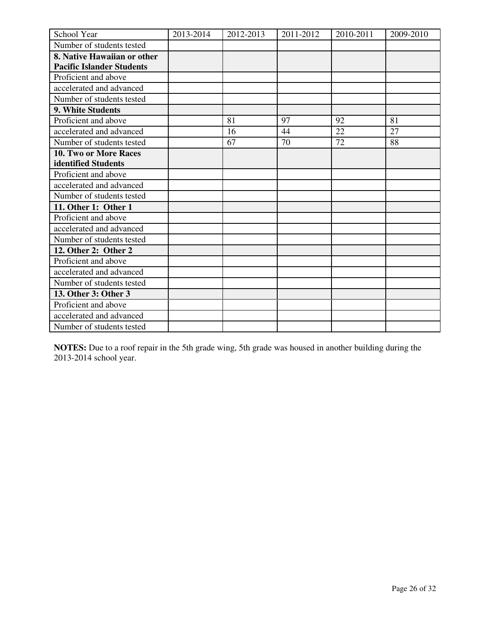| School Year                      | 2013-2014 | 2012-2013 | 2011-2012 | 2010-2011 | 2009-2010 |
|----------------------------------|-----------|-----------|-----------|-----------|-----------|
| Number of students tested        |           |           |           |           |           |
| 8. Native Hawaiian or other      |           |           |           |           |           |
| <b>Pacific Islander Students</b> |           |           |           |           |           |
| Proficient and above             |           |           |           |           |           |
| accelerated and advanced         |           |           |           |           |           |
| Number of students tested        |           |           |           |           |           |
| 9. White Students                |           |           |           |           |           |
| Proficient and above             |           | 81        | 97        | 92        | 81        |
| accelerated and advanced         |           | 16        | 44        | 22        | 27        |
| Number of students tested        |           | 67        | 70        | 72        | 88        |
| 10. Two or More Races            |           |           |           |           |           |
| identified Students              |           |           |           |           |           |
| Proficient and above             |           |           |           |           |           |
| accelerated and advanced         |           |           |           |           |           |
| Number of students tested        |           |           |           |           |           |
| 11. Other 1: Other 1             |           |           |           |           |           |
| Proficient and above             |           |           |           |           |           |
| accelerated and advanced         |           |           |           |           |           |
| Number of students tested        |           |           |           |           |           |
| 12. Other 2: Other 2             |           |           |           |           |           |
| Proficient and above             |           |           |           |           |           |
| accelerated and advanced         |           |           |           |           |           |
| Number of students tested        |           |           |           |           |           |
| 13. Other 3: Other 3             |           |           |           |           |           |
| Proficient and above             |           |           |           |           |           |
| accelerated and advanced         |           |           |           |           |           |
| Number of students tested        |           |           |           |           |           |

**NOTES:** Due to a roof repair in the 5th grade wing, 5th grade was housed in another building during the 2013-2014 school year.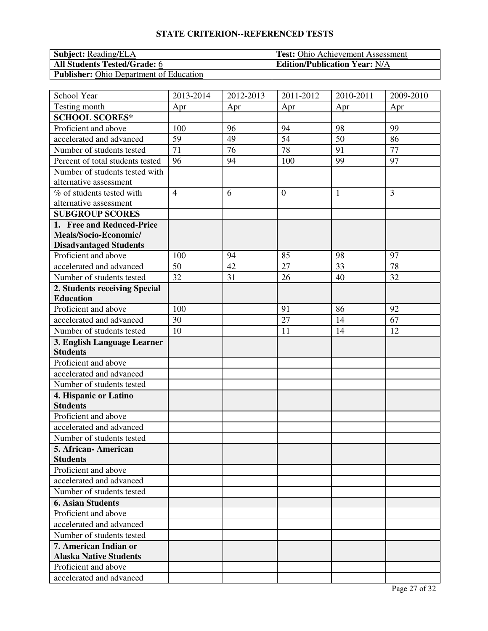| <b>Subject:</b> Reading/ELA                    | <b>Test:</b> Ohio Achievement Assessment |
|------------------------------------------------|------------------------------------------|
| <b>All Students Tested/Grade: 6</b>            | <b>Edition/Publication Year: N/A</b>     |
| <b>Publisher:</b> Ohio Department of Education |                                          |

| School Year                      | 2013-2014       | 2012-2013 | 2011-2012       | 2010-2011 | 2009-2010 |
|----------------------------------|-----------------|-----------|-----------------|-----------|-----------|
| Testing month                    | Apr             | Apr       | Apr             | Apr       | Apr       |
| <b>SCHOOL SCORES*</b>            |                 |           |                 |           |           |
| Proficient and above             | 100             | 96        | 94              | 98        | 99        |
| accelerated and advanced         | 59              | 49        | 54              | 50        | 86        |
| Number of students tested        | $\overline{71}$ | 76        | $\overline{78}$ | 91        | 77        |
| Percent of total students tested | 96              | 94        | 100             | 99        | 97        |
| Number of students tested with   |                 |           |                 |           |           |
| alternative assessment           |                 |           |                 |           |           |
| % of students tested with        | $\overline{4}$  | 6         | $\overline{0}$  | 1         | 3         |
| alternative assessment           |                 |           |                 |           |           |
| <b>SUBGROUP SCORES</b>           |                 |           |                 |           |           |
| 1. Free and Reduced-Price        |                 |           |                 |           |           |
| Meals/Socio-Economic/            |                 |           |                 |           |           |
| <b>Disadvantaged Students</b>    |                 |           |                 |           |           |
| Proficient and above             | 100             | 94        | 85              | 98        | 97        |
| accelerated and advanced         | 50              | 42        | 27              | 33        | 78        |
| Number of students tested        | 32              | 31        | 26              | 40        | 32        |
| 2. Students receiving Special    |                 |           |                 |           |           |
| <b>Education</b>                 |                 |           |                 |           |           |
| Proficient and above             | 100             |           | 91              | 86        | 92        |
| accelerated and advanced         | 30              |           | 27              | 14        | 67        |
| Number of students tested        | 10              |           | 11              | 14        | 12        |
| 3. English Language Learner      |                 |           |                 |           |           |
| <b>Students</b>                  |                 |           |                 |           |           |
| Proficient and above             |                 |           |                 |           |           |
| accelerated and advanced         |                 |           |                 |           |           |
| Number of students tested        |                 |           |                 |           |           |
| 4. Hispanic or Latino            |                 |           |                 |           |           |
| <b>Students</b>                  |                 |           |                 |           |           |
| Proficient and above             |                 |           |                 |           |           |
| accelerated and advanced         |                 |           |                 |           |           |
| Number of students tested        |                 |           |                 |           |           |
| 5. African- American             |                 |           |                 |           |           |
| <b>Students</b>                  |                 |           |                 |           |           |
| Proficient and above             |                 |           |                 |           |           |
| accelerated and advanced         |                 |           |                 |           |           |
| Number of students tested        |                 |           |                 |           |           |
| <b>6. Asian Students</b>         |                 |           |                 |           |           |
| Proficient and above             |                 |           |                 |           |           |
| accelerated and advanced         |                 |           |                 |           |           |
| Number of students tested        |                 |           |                 |           |           |
| 7. American Indian or            |                 |           |                 |           |           |
| <b>Alaska Native Students</b>    |                 |           |                 |           |           |
| Proficient and above             |                 |           |                 |           |           |
| accelerated and advanced         |                 |           |                 |           |           |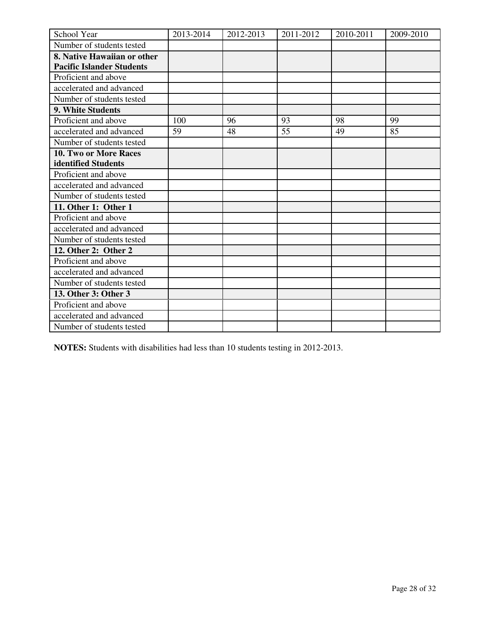| School Year                      | 2013-2014 | 2012-2013 | 2011-2012 | 2010-2011 | 2009-2010 |
|----------------------------------|-----------|-----------|-----------|-----------|-----------|
| Number of students tested        |           |           |           |           |           |
| 8. Native Hawaiian or other      |           |           |           |           |           |
| <b>Pacific Islander Students</b> |           |           |           |           |           |
| Proficient and above             |           |           |           |           |           |
| accelerated and advanced         |           |           |           |           |           |
| Number of students tested        |           |           |           |           |           |
| <b>9. White Students</b>         |           |           |           |           |           |
| Proficient and above             | 100       | 96        | 93        | 98        | 99        |
| accelerated and advanced         | 59        | 48        | 55        | 49        | 85        |
| Number of students tested        |           |           |           |           |           |
| 10. Two or More Races            |           |           |           |           |           |
| identified Students              |           |           |           |           |           |
| Proficient and above             |           |           |           |           |           |
| accelerated and advanced         |           |           |           |           |           |
| Number of students tested        |           |           |           |           |           |
| 11. Other 1: Other 1             |           |           |           |           |           |
| Proficient and above             |           |           |           |           |           |
| accelerated and advanced         |           |           |           |           |           |
| Number of students tested        |           |           |           |           |           |
| 12. Other 2: Other 2             |           |           |           |           |           |
| Proficient and above             |           |           |           |           |           |
| accelerated and advanced         |           |           |           |           |           |
| Number of students tested        |           |           |           |           |           |
| 13. Other 3: Other 3             |           |           |           |           |           |
| Proficient and above             |           |           |           |           |           |
| accelerated and advanced         |           |           |           |           |           |
| Number of students tested        |           |           |           |           |           |

**NOTES:** Students with disabilities had less than 10 students testing in 2012-2013.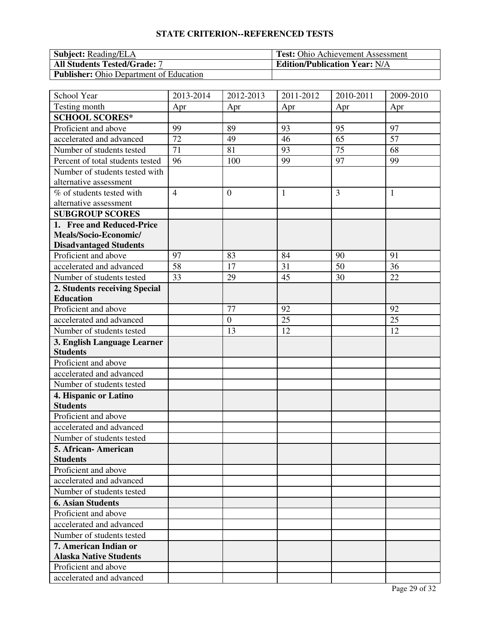| <b>Subject:</b> Reading/ELA                    | <b>Test:</b> Ohio Achievement Assessment |
|------------------------------------------------|------------------------------------------|
| <b>All Students Tested/Grade: 7</b>            | <b>Edition/Publication Year: N/A</b>     |
| <b>Publisher:</b> Ohio Department of Education |                                          |

| School Year                      | 2013-2014       | 2012-2013      | 2011-2012    | 2010-2011       | 2009-2010    |
|----------------------------------|-----------------|----------------|--------------|-----------------|--------------|
| Testing month                    | Apr             | Apr            | Apr          | Apr             | Apr          |
| <b>SCHOOL SCORES*</b>            |                 |                |              |                 |              |
| Proficient and above             | 99              | 89             | 93           | 95              | 97           |
| accelerated and advanced         | 72              | 49             | 46           | 65              | 57           |
| Number of students tested        | $\overline{71}$ | 81             | 93           | $\overline{75}$ | 68           |
| Percent of total students tested | 96              | 100            | 99           | 97              | 99           |
| Number of students tested with   |                 |                |              |                 |              |
| alternative assessment           |                 |                |              |                 |              |
| % of students tested with        | $\overline{4}$  | $\overline{0}$ | $\mathbf{1}$ | $\overline{3}$  | $\mathbf{1}$ |
| alternative assessment           |                 |                |              |                 |              |
| <b>SUBGROUP SCORES</b>           |                 |                |              |                 |              |
| 1. Free and Reduced-Price        |                 |                |              |                 |              |
| Meals/Socio-Economic/            |                 |                |              |                 |              |
| <b>Disadvantaged Students</b>    |                 |                |              |                 |              |
| Proficient and above             | 97              | 83             | 84           | 90              | 91           |
| accelerated and advanced         | 58              | 17             | 31           | 50              | 36           |
| Number of students tested        | 33              | 29             | 45           | 30              | 22           |
| 2. Students receiving Special    |                 |                |              |                 |              |
| <b>Education</b>                 |                 |                |              |                 |              |
| Proficient and above             |                 | 77             | 92           |                 | 92           |
| accelerated and advanced         |                 | $\overline{0}$ | 25           |                 | 25           |
| Number of students tested        |                 | 13             | 12           |                 | 12           |
| 3. English Language Learner      |                 |                |              |                 |              |
| <b>Students</b>                  |                 |                |              |                 |              |
| Proficient and above             |                 |                |              |                 |              |
| accelerated and advanced         |                 |                |              |                 |              |
| Number of students tested        |                 |                |              |                 |              |
| 4. Hispanic or Latino            |                 |                |              |                 |              |
| <b>Students</b>                  |                 |                |              |                 |              |
| Proficient and above             |                 |                |              |                 |              |
| accelerated and advanced         |                 |                |              |                 |              |
| Number of students tested        |                 |                |              |                 |              |
| 5. African- American             |                 |                |              |                 |              |
| <b>Students</b>                  |                 |                |              |                 |              |
| Proficient and above             |                 |                |              |                 |              |
| accelerated and advanced         |                 |                |              |                 |              |
| Number of students tested        |                 |                |              |                 |              |
| <b>6. Asian Students</b>         |                 |                |              |                 |              |
| Proficient and above             |                 |                |              |                 |              |
| accelerated and advanced         |                 |                |              |                 |              |
| Number of students tested        |                 |                |              |                 |              |
| 7. American Indian or            |                 |                |              |                 |              |
| <b>Alaska Native Students</b>    |                 |                |              |                 |              |
| Proficient and above             |                 |                |              |                 |              |
| accelerated and advanced         |                 |                |              |                 |              |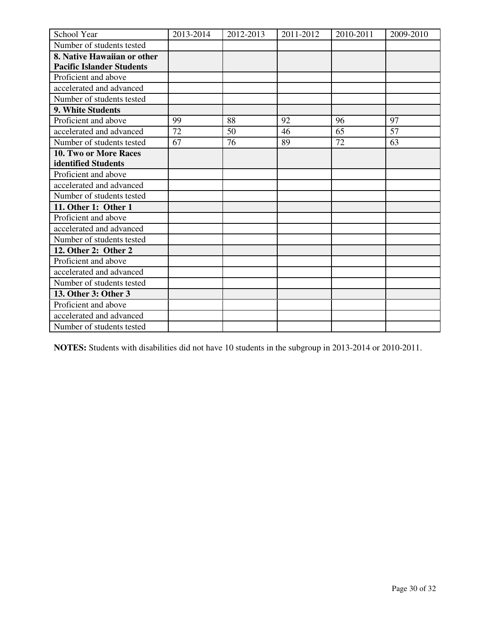| School Year                      | 2013-2014 | 2012-2013 | 2011-2012 | 2010-2011 | 2009-2010 |
|----------------------------------|-----------|-----------|-----------|-----------|-----------|
| Number of students tested        |           |           |           |           |           |
| 8. Native Hawaiian or other      |           |           |           |           |           |
| <b>Pacific Islander Students</b> |           |           |           |           |           |
| Proficient and above             |           |           |           |           |           |
| accelerated and advanced         |           |           |           |           |           |
| Number of students tested        |           |           |           |           |           |
| 9. White Students                |           |           |           |           |           |
| Proficient and above             | 99        | 88        | 92        | 96        | 97        |
| accelerated and advanced         | 72        | 50        | 46        | 65        | 57        |
| Number of students tested        | 67        | 76        | 89        | 72        | 63        |
| <b>10. Two or More Races</b>     |           |           |           |           |           |
| identified Students              |           |           |           |           |           |
| Proficient and above             |           |           |           |           |           |
| accelerated and advanced         |           |           |           |           |           |
| Number of students tested        |           |           |           |           |           |
| 11. Other 1: Other 1             |           |           |           |           |           |
| Proficient and above             |           |           |           |           |           |
| accelerated and advanced         |           |           |           |           |           |
| Number of students tested        |           |           |           |           |           |
| 12. Other 2: Other 2             |           |           |           |           |           |
| Proficient and above             |           |           |           |           |           |
| accelerated and advanced         |           |           |           |           |           |
| Number of students tested        |           |           |           |           |           |
| 13. Other 3: Other 3             |           |           |           |           |           |
| Proficient and above             |           |           |           |           |           |
| accelerated and advanced         |           |           |           |           |           |
| Number of students tested        |           |           |           |           |           |

**NOTES:** Students with disabilities did not have 10 students in the subgroup in 2013-2014 or 2010-2011.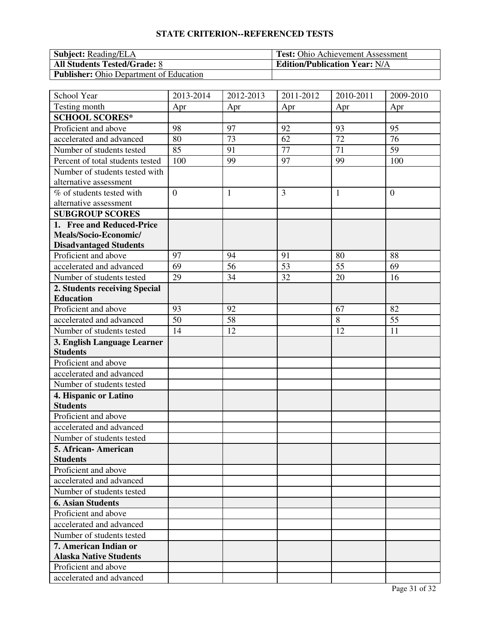| <b>Subject:</b> Reading/ELA                    | <b>Test:</b> Ohio Achievement Assessment |
|------------------------------------------------|------------------------------------------|
| <b>All Students Tested/Grade: 8</b>            | <b>Edition/Publication Year: N/A</b>     |
| <b>Publisher:</b> Ohio Department of Education |                                          |

| School Year                      | 2013-2014      | 2012-2013       | 2011-2012 | 2010-2011       | 2009-2010      |
|----------------------------------|----------------|-----------------|-----------|-----------------|----------------|
| Testing month                    | Apr            | Apr             | Apr       | Apr             | Apr            |
| <b>SCHOOL SCORES*</b>            |                |                 |           |                 |                |
| Proficient and above             | 98             | 97              | 92        | 93              | 95             |
| accelerated and advanced         | 80             | 73              | 62        | 72              | 76             |
| Number of students tested        | 85             | 91              | 77        | $\overline{71}$ | 59             |
| Percent of total students tested | 100            | 99              | 97        | 99              | 100            |
| Number of students tested with   |                |                 |           |                 |                |
| alternative assessment           |                |                 |           |                 |                |
| % of students tested with        | $\overline{0}$ | 1               | 3         | $\mathbf{1}$    | $\overline{0}$ |
| alternative assessment           |                |                 |           |                 |                |
| <b>SUBGROUP SCORES</b>           |                |                 |           |                 |                |
| 1. Free and Reduced-Price        |                |                 |           |                 |                |
| Meals/Socio-Economic/            |                |                 |           |                 |                |
| <b>Disadvantaged Students</b>    |                |                 |           |                 |                |
| Proficient and above             | 97             | 94              | 91        | 80              | 88             |
| accelerated and advanced         | 69             | 56              | 53        | 55              | 69             |
| Number of students tested        | 29             | 34              | 32        | 20              | 16             |
| 2. Students receiving Special    |                |                 |           |                 |                |
| <b>Education</b>                 |                |                 |           |                 |                |
| Proficient and above             | 93             | 92              |           | 67              | 82             |
| accelerated and advanced         | 50             | $\overline{58}$ |           | 8               | 55             |
| Number of students tested        | 14             | 12              |           | 12              | 11             |
| 3. English Language Learner      |                |                 |           |                 |                |
| <b>Students</b>                  |                |                 |           |                 |                |
| Proficient and above             |                |                 |           |                 |                |
| accelerated and advanced         |                |                 |           |                 |                |
| Number of students tested        |                |                 |           |                 |                |
| 4. Hispanic or Latino            |                |                 |           |                 |                |
| <b>Students</b>                  |                |                 |           |                 |                |
| Proficient and above             |                |                 |           |                 |                |
| accelerated and advanced         |                |                 |           |                 |                |
| Number of students tested        |                |                 |           |                 |                |
| 5. African- American             |                |                 |           |                 |                |
| <b>Students</b>                  |                |                 |           |                 |                |
| Proficient and above             |                |                 |           |                 |                |
| accelerated and advanced         |                |                 |           |                 |                |
| Number of students tested        |                |                 |           |                 |                |
| <b>6. Asian Students</b>         |                |                 |           |                 |                |
| Proficient and above             |                |                 |           |                 |                |
| accelerated and advanced         |                |                 |           |                 |                |
| Number of students tested        |                |                 |           |                 |                |
| 7. American Indian or            |                |                 |           |                 |                |
| <b>Alaska Native Students</b>    |                |                 |           |                 |                |
| Proficient and above             |                |                 |           |                 |                |
| accelerated and advanced         |                |                 |           |                 |                |